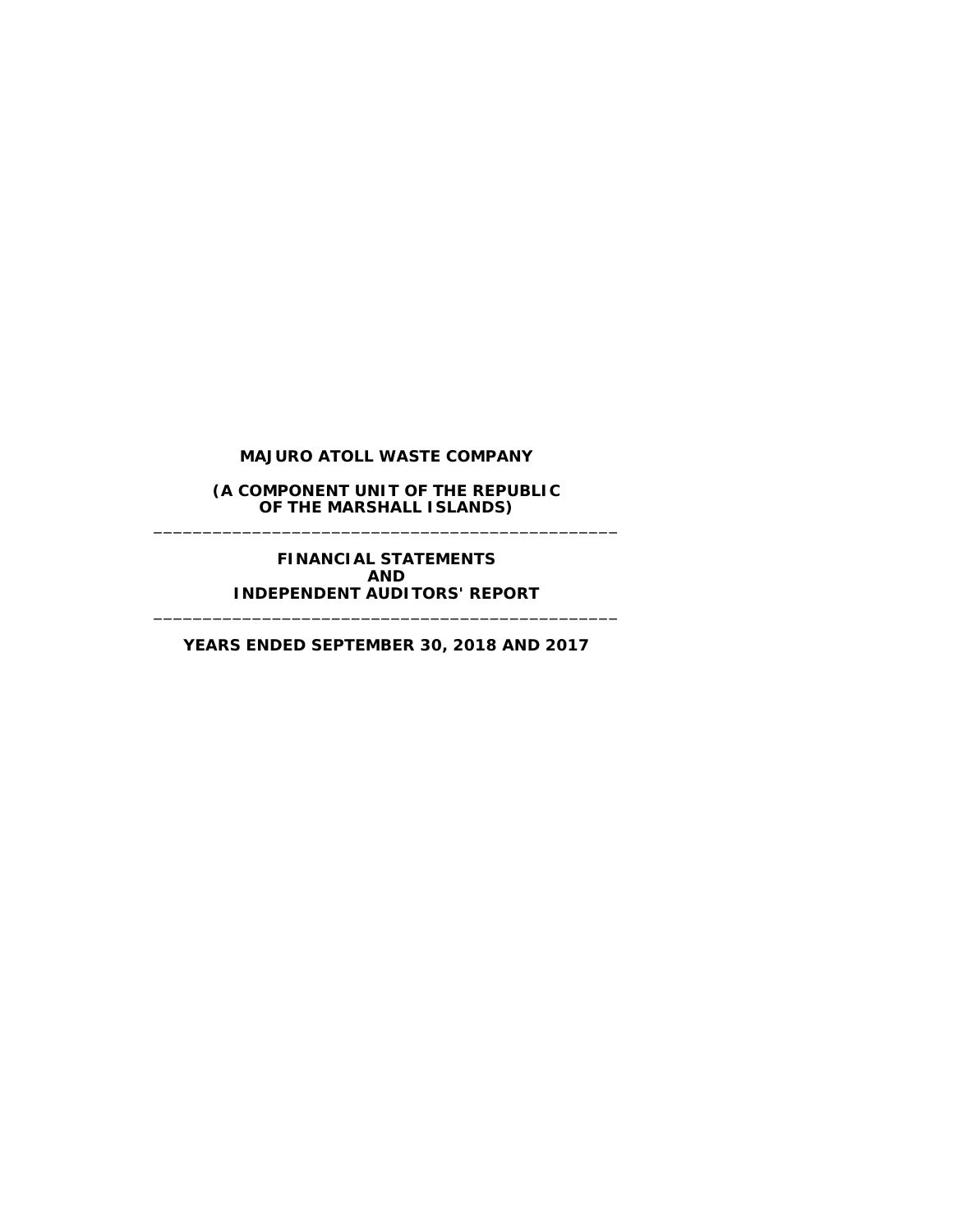#### **MAJURO ATOLL WASTE COMPANY**

**(A COMPONENT UNIT OF THE REPUBLIC OF THE MARSHALL ISLANDS)** \_\_\_\_\_\_\_\_\_\_\_\_\_\_\_\_\_\_\_\_\_\_\_\_\_\_\_\_\_\_\_\_\_\_\_\_\_\_\_\_\_\_\_\_\_\_\_

> **FINANCIAL STATEMENTS AND INDEPENDENT AUDITORS' REPORT**

**YEARS ENDED SEPTEMBER 30, 2018 AND 2017**

\_\_\_\_\_\_\_\_\_\_\_\_\_\_\_\_\_\_\_\_\_\_\_\_\_\_\_\_\_\_\_\_\_\_\_\_\_\_\_\_\_\_\_\_\_\_\_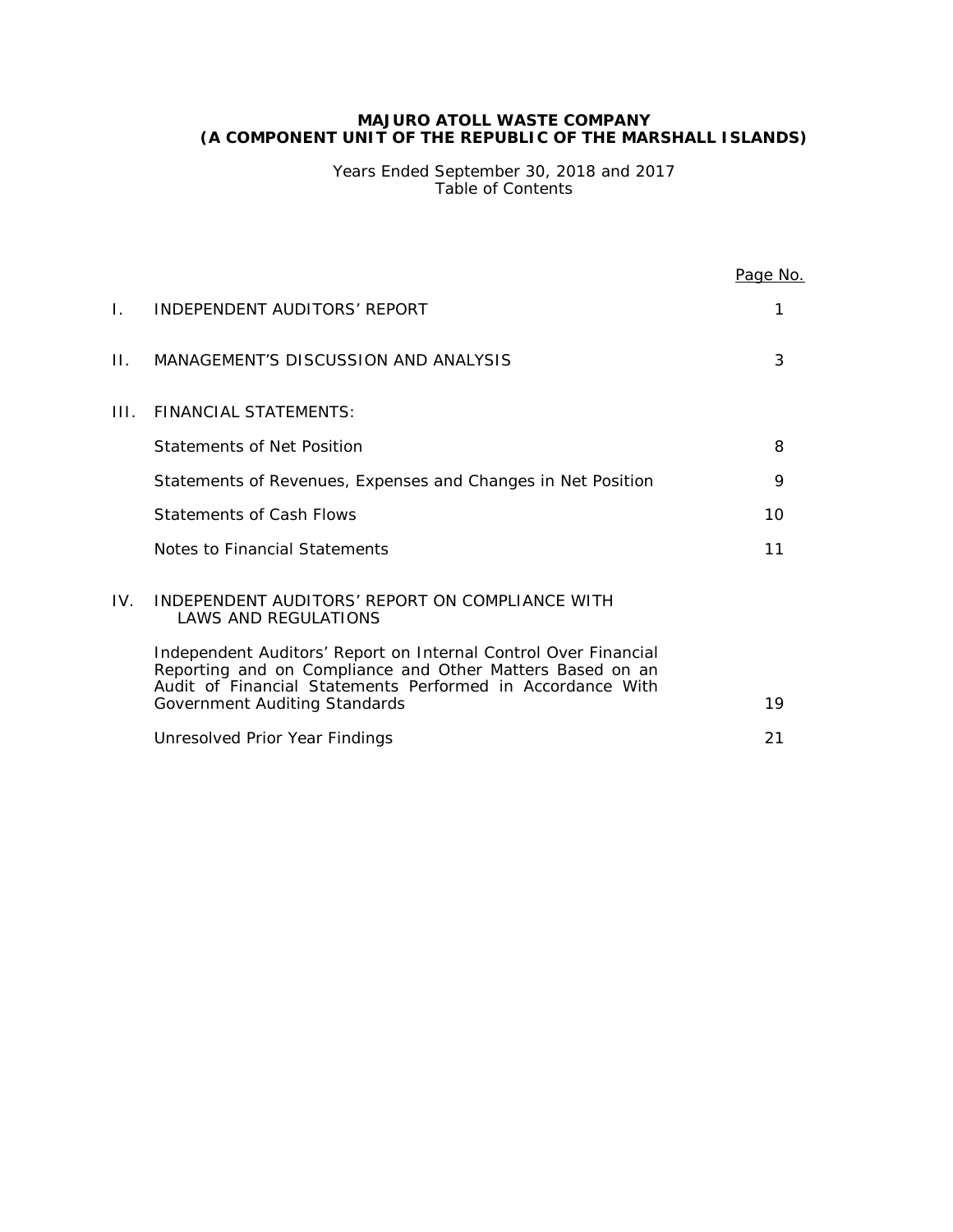Years Ended September 30, 2018 and 2017 Table of Contents

|     |                                                                                                                                                                                                                             | <u>Page No.</u> |
|-----|-----------------------------------------------------------------------------------------------------------------------------------------------------------------------------------------------------------------------------|-----------------|
| L.  | INDEPENDENT AUDITORS' REPORT                                                                                                                                                                                                | 1               |
| П.  | MANAGEMENT'S DISCUSSION AND ANALYSIS                                                                                                                                                                                        | 3               |
| Ш÷  | FINANCIAL STATFMENTS:                                                                                                                                                                                                       |                 |
|     | Statements of Net Position                                                                                                                                                                                                  | 8               |
|     | Statements of Revenues, Expenses and Changes in Net Position                                                                                                                                                                | 9               |
|     | Statements of Cash Flows                                                                                                                                                                                                    | 10              |
|     | Notes to Financial Statements                                                                                                                                                                                               | 11              |
| IV. | INDEPENDENT AUDITORS' REPORT ON COMPLIANCE WITH<br><b>LAWS AND REGULATIONS</b>                                                                                                                                              |                 |
|     | Independent Auditors' Report on Internal Control Over Financial<br>Reporting and on Compliance and Other Matters Based on an<br>Audit of Financial Statements Performed in Accordance With<br>Government Auditing Standards | 19              |
|     |                                                                                                                                                                                                                             | 21              |
|     | Unresolved Prior Year Findings                                                                                                                                                                                              |                 |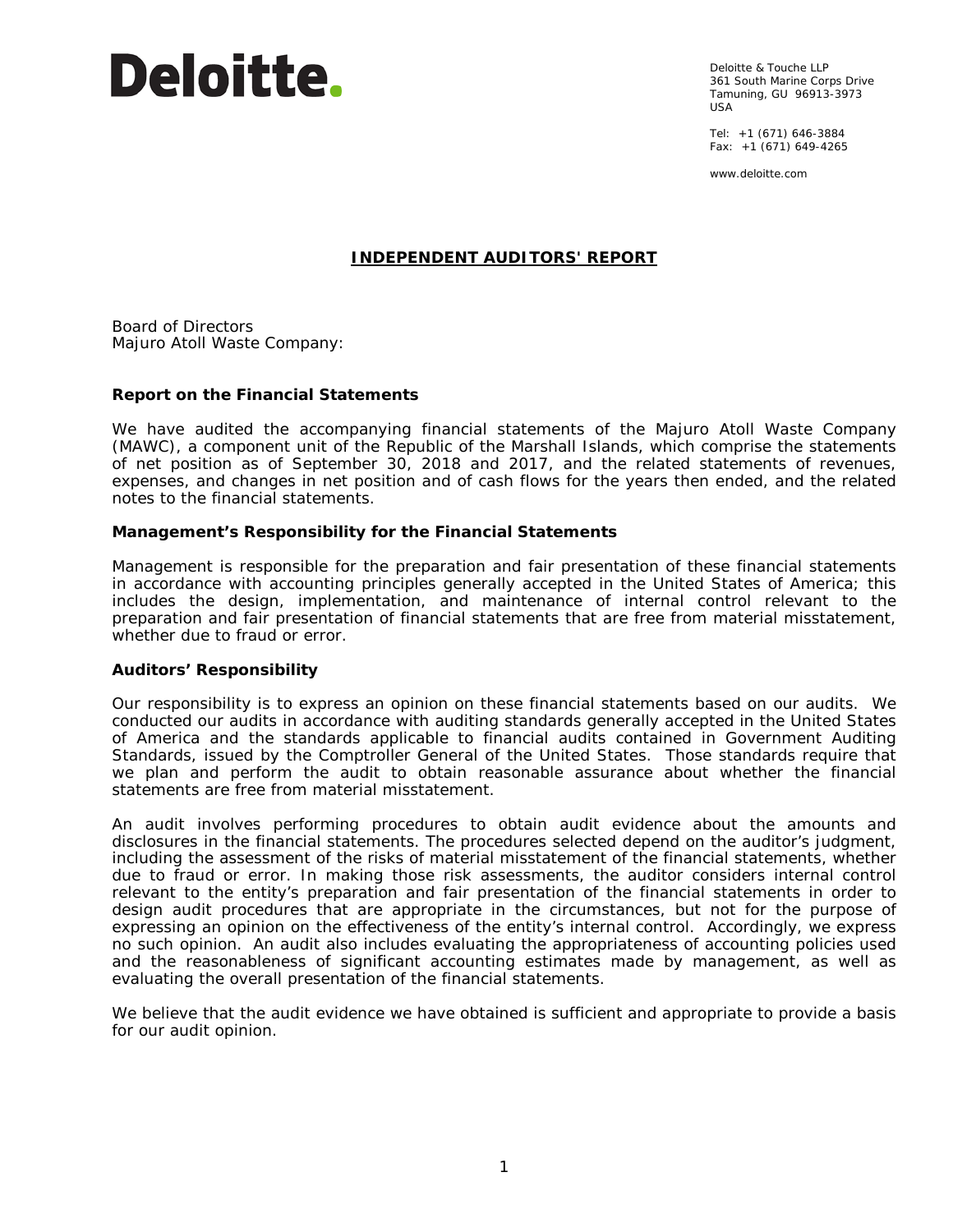

Deloitte & Touche LLP 361 South Marine Corps Drive Tamuning, GU 96913-3973 USA

Tel: +1 (671) 646-3884 Fax: +1 (671) 649-4265

www.deloitte.com

# **INDEPENDENT AUDITORS' REPORT**

Board of Directors Majuro Atoll Waste Company:

# **Report on the Financial Statements**

We have audited the accompanying financial statements of the Majuro Atoll Waste Company (MAWC), a component unit of the Republic of the Marshall Islands, which comprise the statements of net position as of September 30, 2018 and 2017, and the related statements of revenues, expenses, and changes in net position and of cash flows for the years then ended, and the related notes to the financial statements.

# *Management's Responsibility for the Financial Statements*

Management is responsible for the preparation and fair presentation of these financial statements in accordance with accounting principles generally accepted in the United States of America; this includes the design, implementation, and maintenance of internal control relevant to the preparation and fair presentation of financial statements that are free from material misstatement, whether due to fraud or error.

# *Auditors' Responsibility*

Our responsibility is to express an opinion on these financial statements based on our audits. We conducted our audits in accordance with auditing standards generally accepted in the United States of America and the standards applicable to financial audits contained in *Government Auditing Standards,* issued by the Comptroller General of the United States. Those standards require that we plan and perform the audit to obtain reasonable assurance about whether the financial statements are free from material misstatement.

An audit involves performing procedures to obtain audit evidence about the amounts and disclosures in the financial statements. The procedures selected depend on the auditor's judgment, including the assessment of the risks of material misstatement of the financial statements, whether due to fraud or error. In making those risk assessments, the auditor considers internal control relevant to the entity's preparation and fair presentation of the financial statements in order to design audit procedures that are appropriate in the circumstances, but not for the purpose of expressing an opinion on the effectiveness of the entity's internal control. Accordingly, we express no such opinion. An audit also includes evaluating the appropriateness of accounting policies used and the reasonableness of significant accounting estimates made by management, as well as evaluating the overall presentation of the financial statements.

We believe that the audit evidence we have obtained is sufficient and appropriate to provide a basis for our audit opinion.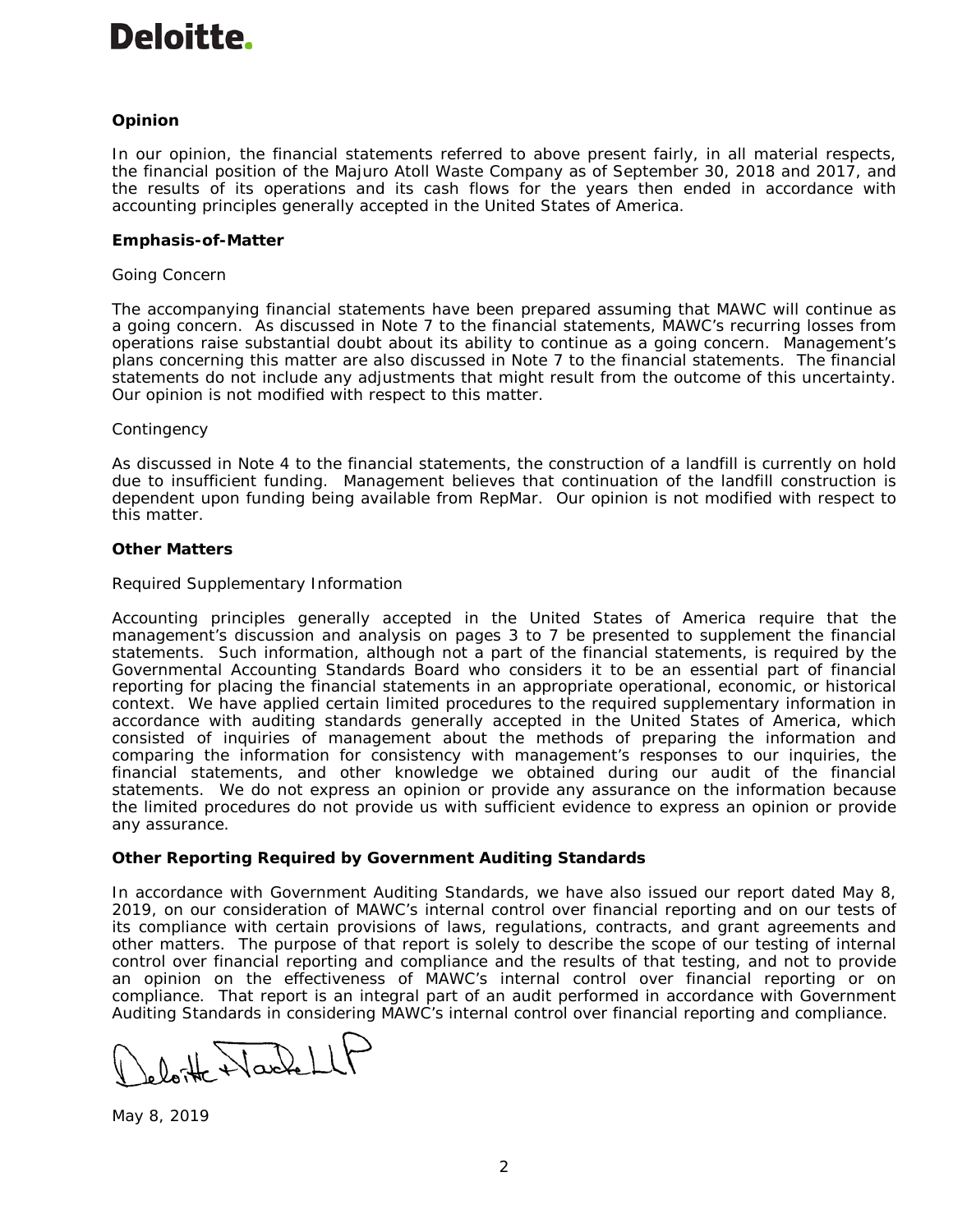# **Deloitte.**

# *Opinion*

In our opinion, the financial statements referred to above present fairly, in all material respects, the financial position of the Majuro Atoll Waste Company as of September 30, 2018 and 2017, and the results of its operations and its cash flows for the years then ended in accordance with accounting principles generally accepted in the United States of America.

# **Emphasis-of-Matter**

# *Going Concern*

The accompanying financial statements have been prepared assuming that MAWC will continue as a going concern. As discussed in Note 7 to the financial statements, MAWC's recurring losses from operations raise substantial doubt about its ability to continue as a going concern. Management's plans concerning this matter are also discussed in Note 7 to the financial statements. The financial statements do not include any adjustments that might result from the outcome of this uncertainty. Our opinion is not modified with respect to this matter.

# *Contingency*

As discussed in Note 4 to the financial statements, the construction of a landfill is currently on hold due to insufficient funding. Management believes that continuation of the landfill construction is dependent upon funding being available from RepMar. Our opinion is not modified with respect to this matter.

# *Other Matters*

# *Required Supplementary Information*

Accounting principles generally accepted in the United States of America require that the management's discussion and analysis on pages 3 to 7 be presented to supplement the financial statements. Such information, although not a part of the financial statements, is required by the Governmental Accounting Standards Board who considers it to be an essential part of financial reporting for placing the financial statements in an appropriate operational, economic, or historical context. We have applied certain limited procedures to the required supplementary information in accordance with auditing standards generally accepted in the United States of America, which consisted of inquiries of management about the methods of preparing the information and comparing the information for consistency with management's responses to our inquiries, the financial statements, and other knowledge we obtained during our audit of the financial statements. We do not express an opinion or provide any assurance on the information because the limited procedures do not provide us with sufficient evidence to express an opinion or provide any assurance.

# **Other Reporting Required by** *Government Auditing Standards*

In accordance with *Government Auditing Standards*, we have also issued our report dated May 8, 2019, on our consideration of MAWC's internal control over financial reporting and on our tests of its compliance with certain provisions of laws, regulations, contracts, and grant agreements and other matters. The purpose of that report is solely to describe the scope of our testing of internal control over financial reporting and compliance and the results of that testing, and not to provide an opinion on the effectiveness of MAWC's internal control over financial reporting or on compliance. That report is an integral part of an audit performed in accordance with *Government Auditing Standards* in considering MAWC's internal control over financial reporting and compliance.

loite Harlett

May 8, 2019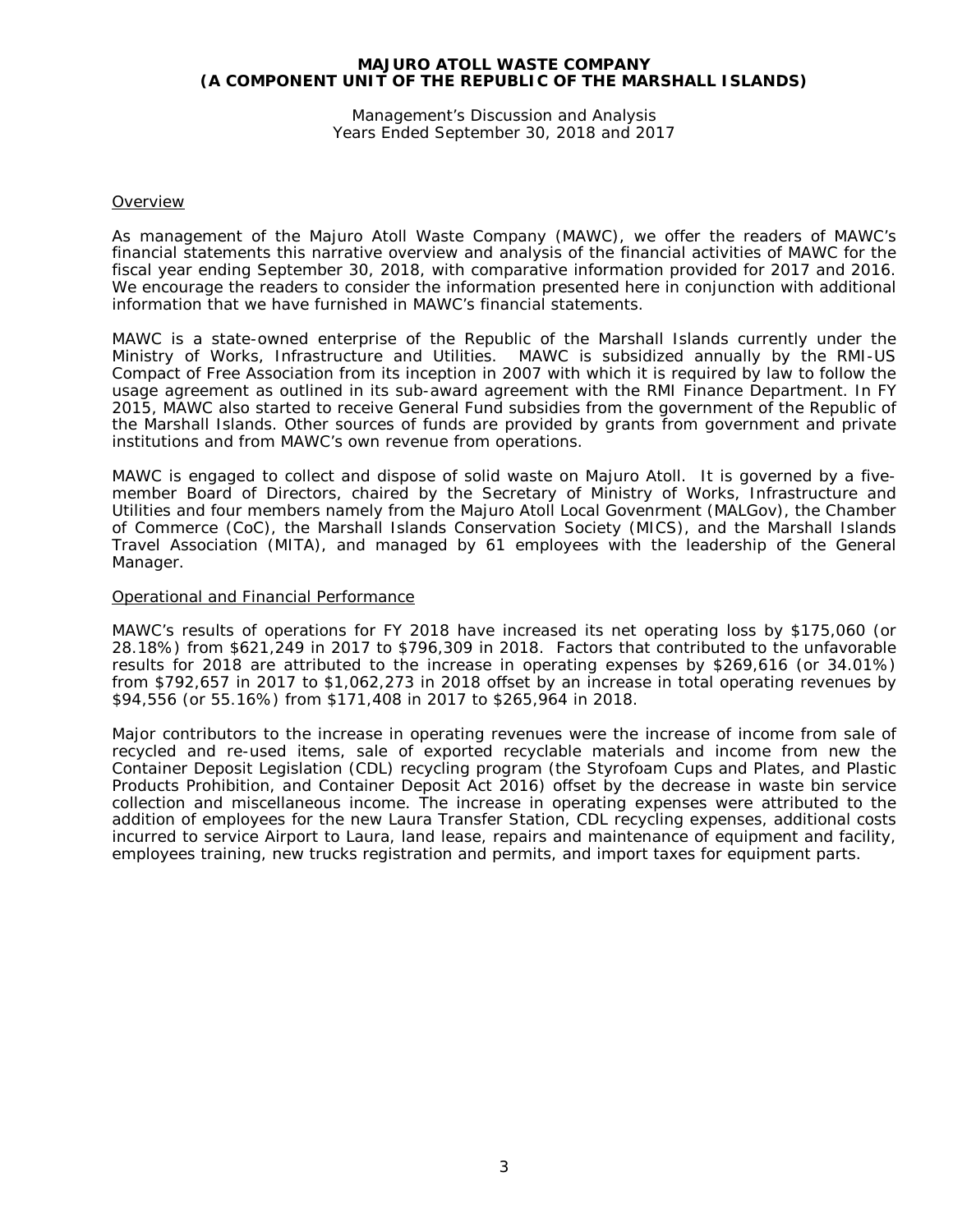Management's Discussion and Analysis Years Ended September 30, 2018 and 2017

#### **Overview**

As management of the Majuro Atoll Waste Company (MAWC), we offer the readers of MAWC's financial statements this narrative overview and analysis of the financial activities of MAWC for the fiscal year ending September 30, 2018, with comparative information provided for 2017 and 2016. We encourage the readers to consider the information presented here in conjunction with additional information that we have furnished in MAWC's financial statements.

MAWC is a state-owned enterprise of the Republic of the Marshall Islands currently under the Ministry of Works, Infrastructure and Utilities. MAWC is subsidized annually by the RMI-US Compact of Free Association from its inception in 2007 with which it is required by law to follow the usage agreement as outlined in its sub-award agreement with the RMI Finance Department. In FY 2015, MAWC also started to receive General Fund subsidies from the government of the Republic of the Marshall Islands. Other sources of funds are provided by grants from government and private institutions and from MAWC's own revenue from operations.

MAWC is engaged to collect and dispose of solid waste on Majuro Atoll. It is governed by a fivemember Board of Directors, chaired by the Secretary of Ministry of Works, Infrastructure and Utilities and four members namely from the Majuro Atoll Local Govenrment (MALGov), the Chamber of Commerce (CoC), the Marshall Islands Conservation Society (MICS), and the Marshall Islands Travel Association (MITA), and managed by 61 employees with the leadership of the General Manager.

#### Operational and Financial Performance

MAWC's results of operations for FY 2018 have increased its net operating loss by \$175,060 (or 28.18%) from \$621,249 in 2017 to \$796,309 in 2018. Factors that contributed to the unfavorable results for 2018 are attributed to the increase in operating expenses by \$269,616 (or 34.01%) from \$792,657 in 2017 to \$1,062,273 in 2018 offset by an increase in total operating revenues by \$94,556 (or 55.16%) from \$171,408 in 2017 to \$265,964 in 2018.

Major contributors to the increase in operating revenues were the increase of income from sale of recycled and re-used items, sale of exported recyclable materials and income from new the Container Deposit Legislation (CDL) recycling program (the Styrofoam Cups and Plates, and Plastic Products Prohibition, and Container Deposit Act 2016) offset by the decrease in waste bin service collection and miscellaneous income. The increase in operating expenses were attributed to the addition of employees for the new Laura Transfer Station, CDL recycling expenses, additional costs incurred to service Airport to Laura, land lease, repairs and maintenance of equipment and facility, employees training, new trucks registration and permits, and import taxes for equipment parts.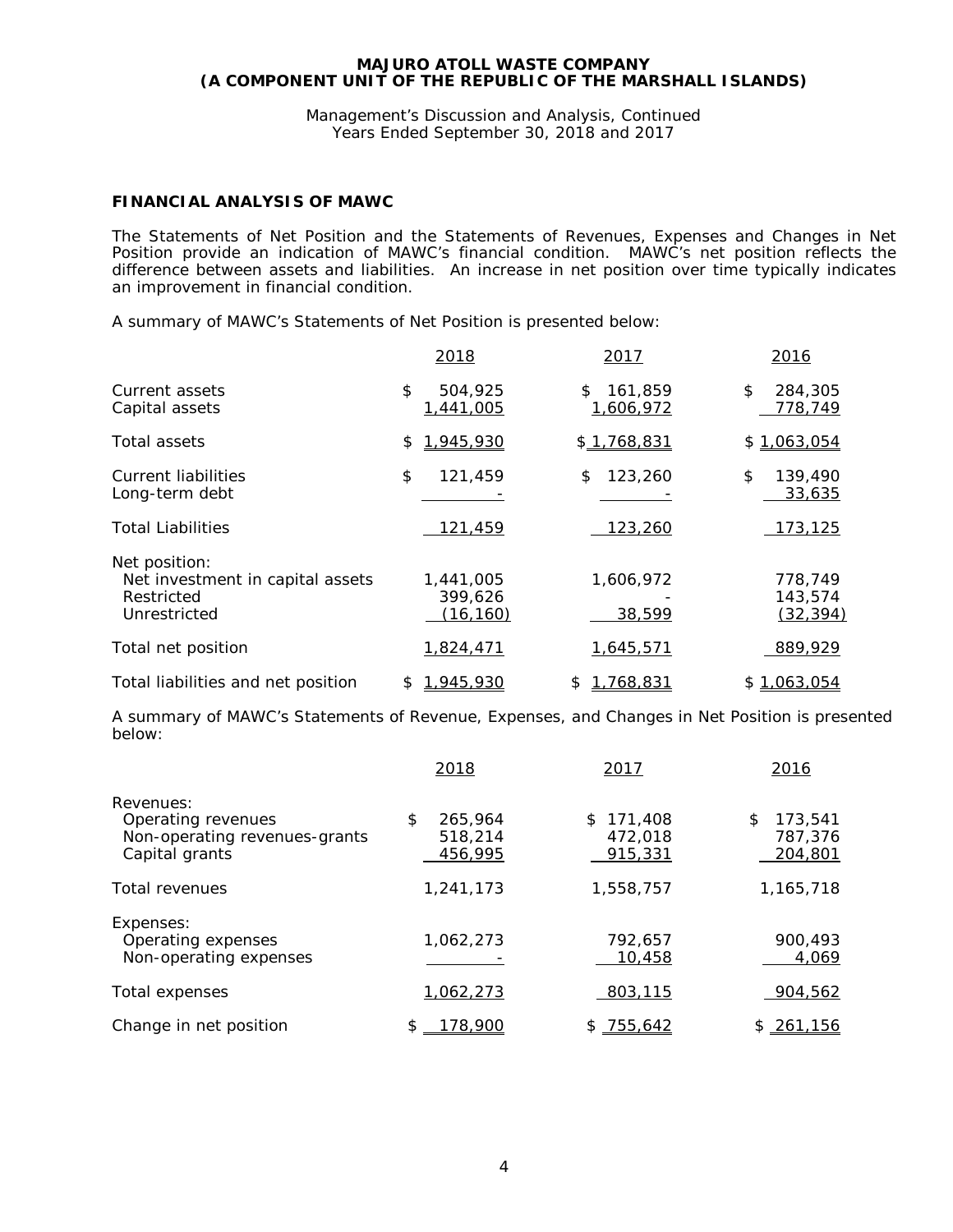Management's Discussion and Analysis, Continued Years Ended September 30, 2018 and 2017

# **FINANCIAL ANALYSIS OF MAWC**

The Statements of Net Position and the Statements of Revenues, Expenses and Changes in Net Position provide an indication of MAWC's financial condition. MAWC's net position reflects the difference between assets and liabilities. An increase in net position over time typically indicates an improvement in financial condition.

A summary of MAWC's Statements of Net Position is presented below:

|                                                                                 | 2018                              | 2017                       | 2016                            |
|---------------------------------------------------------------------------------|-----------------------------------|----------------------------|---------------------------------|
| Current assets<br>Capital assets                                                | \$<br>504,925<br>1,441,005        | 161,859<br>\$<br>1,606,972 | 284,305<br>\$<br>778,749        |
| Total assets                                                                    | 1,945,930<br>\$                   | \$1,768,831                | \$1,063,054                     |
| Current liabilities<br>Long-term debt                                           | \$<br>121,459                     | 123,260<br>\$              | \$<br>139,490<br>33,635         |
| <b>Total Liabilities</b>                                                        | 121,459                           | 123,260                    | 173,125                         |
| Net position:<br>Net investment in capital assets<br>Restricted<br>Unrestricted | 1,441,005<br>399,626<br>(16, 160) | 1,606,972<br>38,599        | 778,749<br>143,574<br>(32, 394) |
| Total net position                                                              | 1,824,471                         | 1,645,571                  | 889,929                         |
| Total liabilities and net position                                              | 1,945,930<br>\$                   | 1,768,831<br>\$            | \$1,063,054                     |

A summary of MAWC's Statements of Revenue, Expenses, and Changes in Net Position is presented below:

|                                                                                    | 2018                                | 2017                            | 2016                                |
|------------------------------------------------------------------------------------|-------------------------------------|---------------------------------|-------------------------------------|
| Revenues:<br>Operating revenues<br>Non-operating revenues-grants<br>Capital grants | \$<br>265,964<br>518,214<br>456,995 | \$171,408<br>472,018<br>915,331 | 173,541<br>\$<br>787,376<br>204,801 |
| Total revenues                                                                     | 1,241,173                           | 1,558,757                       | 1,165,718                           |
| Expenses:<br>Operating expenses<br>Non-operating expenses                          | 1,062,273                           | 792,657<br>10,458               | 900,493<br>4,069                    |
| Total expenses                                                                     | 1,062,273                           | 803,115                         | 904,562                             |
| Change in net position                                                             | <u>178,900</u>                      | \$755,642                       | \$261,156                           |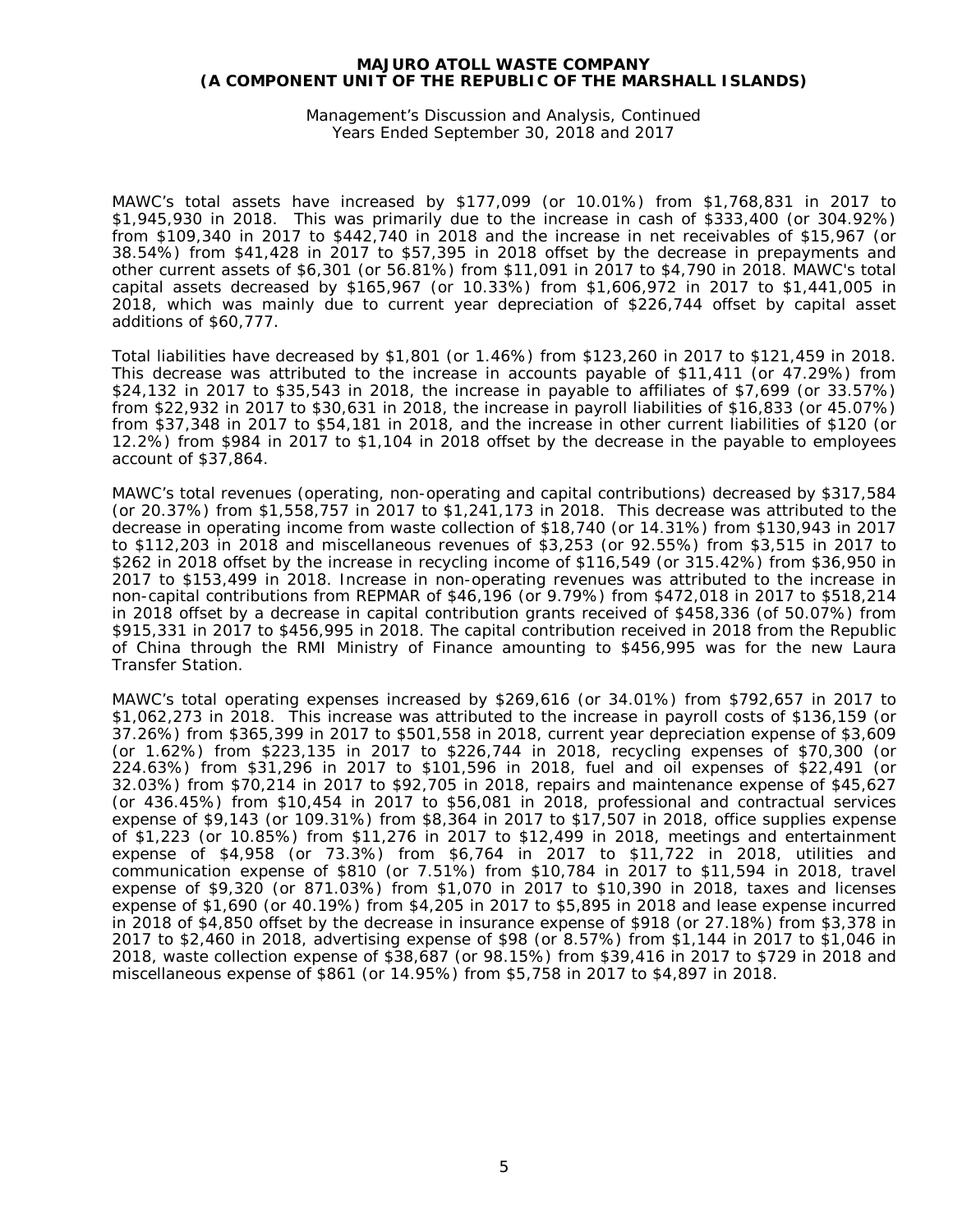Management's Discussion and Analysis, Continued Years Ended September 30, 2018 and 2017

MAWC's total assets have increased by \$177,099 (or 10.01%) from \$1,768,831 in 2017 to \$1,945,930 in 2018. This was primarily due to the increase in cash of \$333,400 (or 304.92%) from \$109,340 in 2017 to \$442,740 in 2018 and the increase in net receivables of \$15,967 (or 38.54%) from \$41,428 in 2017 to \$57,395 in 2018 offset by the decrease in prepayments and other current assets of \$6,301 (or 56.81%) from \$11,091 in 2017 to \$4,790 in 2018. MAWC's total capital assets decreased by \$165,967 (or 10.33%) from \$1,606,972 in 2017 to \$1,441,005 in 2018, which was mainly due to current year depreciation of \$226,744 offset by capital asset additions of \$60,777.

Total liabilities have decreased by \$1,801 (or 1.46%) from \$123,260 in 2017 to \$121,459 in 2018. This decrease was attributed to the increase in accounts payable of \$11,411 (or 47.29%) from \$24,132 in 2017 to \$35,543 in 2018, the increase in payable to affiliates of \$7,699 (or 33.57%) from \$22,932 in 2017 to \$30,631 in 2018, the increase in payroll liabilities of \$16,833 (or 45.07%) from \$37,348 in 2017 to \$54,181 in 2018, and the increase in other current liabilities of \$120 (or 12.2%) from \$984 in 2017 to \$1,104 in 2018 offset by the decrease in the payable to employees account of \$37,864.

MAWC's total revenues (operating, non-operating and capital contributions) decreased by \$317,584 (or 20.37%) from \$1,558,757 in 2017 to \$1,241,173 in 2018. This decrease was attributed to the decrease in operating income from waste collection of \$18,740 (or 14.31%) from \$130,943 in 2017 to \$112,203 in 2018 and miscellaneous revenues of \$3,253 (or 92.55%) from \$3,515 in 2017 to \$262 in 2018 offset by the increase in recycling income of \$116,549 (or 315.42%) from \$36,950 in 2017 to \$153,499 in 2018. Increase in non-operating revenues was attributed to the increase in non-capital contributions from REPMAR of \$46,196 (or 9.79%) from \$472,018 in 2017 to \$518,214 in 2018 offset by a decrease in capital contribution grants received of \$458,336 (of 50.07%) from \$915,331 in 2017 to \$456,995 in 2018. The capital contribution received in 2018 from the Republic of China through the RMI Ministry of Finance amounting to \$456,995 was for the new Laura Transfer Station.

MAWC's total operating expenses increased by \$269,616 (or 34.01%) from \$792,657 in 2017 to \$1,062,273 in 2018. This increase was attributed to the increase in payroll costs of \$136,159 (or 37.26%) from \$365,399 in 2017 to \$501,558 in 2018, current year depreciation expense of \$3,609 (or 1.62%) from \$223,135 in 2017 to \$226,744 in 2018, recycling expenses of \$70,300 (or 224.63%) from \$31,296 in 2017 to \$101,596 in 2018, fuel and oil expenses of \$22,491 (or 32.03%) from \$70,214 in 2017 to \$92,705 in 2018, repairs and maintenance expense of \$45,627 (or 436.45%) from \$10,454 in 2017 to \$56,081 in 2018, professional and contractual services expense of \$9,143 (or 109.31%) from \$8,364 in 2017 to \$17,507 in 2018, office supplies expense of \$1,223 (or 10.85%) from \$11,276 in 2017 to \$12,499 in 2018, meetings and entertainment expense of \$4,958 (or 73.3%) from \$6,764 in 2017 to \$11,722 in 2018, utilities and communication expense of \$810 (or 7.51%) from \$10,784 in 2017 to \$11,594 in 2018, travel expense of \$9,320 (or 871.03%) from \$1,070 in 2017 to \$10,390 in 2018, taxes and licenses expense of \$1,690 (or 40.19%) from \$4,205 in 2017 to \$5,895 in 2018 and lease expense incurred in 2018 of \$4,850 offset by the decrease in insurance expense of \$918 (or 27.18%) from \$3,378 in 2017 to \$2,460 in 2018, advertising expense of \$98 (or 8.57%) from \$1,144 in 2017 to \$1,046 in 2018, waste collection expense of \$38,687 (or 98.15%) from \$39,416 in 2017 to \$729 in 2018 and miscellaneous expense of \$861 (or 14.95%) from \$5,758 in 2017 to \$4,897 in 2018.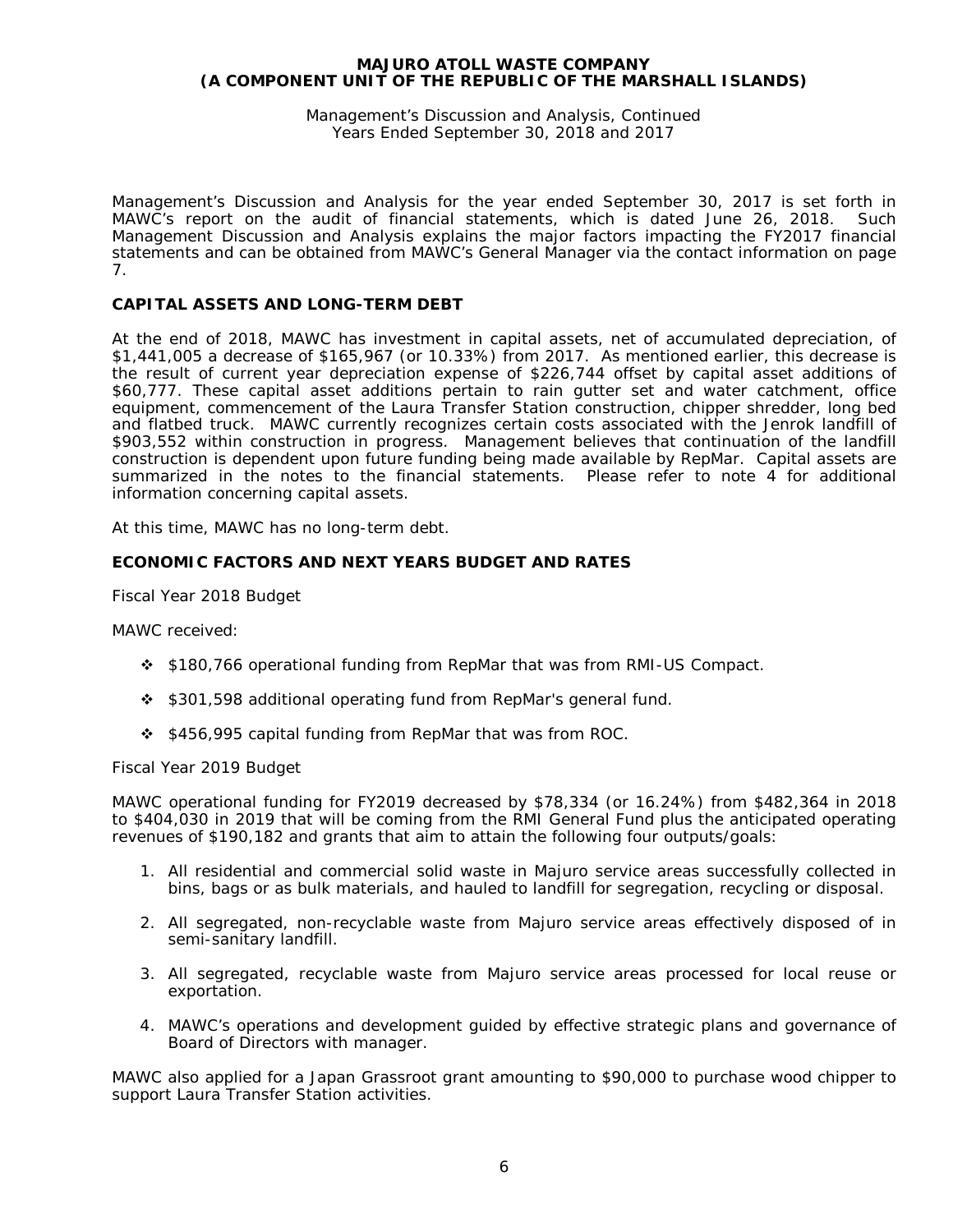Management's Discussion and Analysis, Continued Years Ended September 30, 2018 and 2017

Management's Discussion and Analysis for the year ended September 30, 2017 is set forth in MAWC's report on the audit of financial statements, which is dated June 26, 2018. Such Management Discussion and Analysis explains the major factors impacting the FY2017 financial statements and can be obtained from MAWC's General Manager via the contact information on page 7.

# **CAPITAL ASSETS AND LONG-TERM DEBT**

At the end of 2018, MAWC has investment in capital assets, net of accumulated depreciation, of \$1,441,005 a decrease of \$165,967 (or 10.33%) from 2017. As mentioned earlier, this decrease is the result of current year depreciation expense of \$226,744 offset by capital asset additions of \$60,777. These capital asset additions pertain to rain gutter set and water catchment, office equipment, commencement of the Laura Transfer Station construction, chipper shredder, long bed and flatbed truck. MAWC currently recognizes certain costs associated with the Jenrok landfill of \$903,552 within construction in progress. Management believes that continuation of the landfill construction is dependent upon future funding being made available by RepMar. Capital assets are summarized in the notes to the financial statements. Please refer to note 4 for additional information concerning capital assets.

At this time, MAWC has no long-term debt.

# **ECONOMIC FACTORS AND NEXT YEARS BUDGET AND RATES**

Fiscal Year 2018 Budget

MAWC received:

- \$180,766 operational funding from RepMar that was from RMI-US Compact.
- $\div$  \$301,598 additional operating fund from RepMar's general fund.
- $\div$  \$456,995 capital funding from RepMar that was from ROC.

Fiscal Year 2019 Budget

MAWC operational funding for FY2019 decreased by \$78,334 (or 16.24%) from \$482,364 in 2018 to \$404,030 in 2019 that will be coming from the RMI General Fund plus the anticipated operating revenues of \$190,182 and grants that aim to attain the following four outputs/goals:

- 1. All residential and commercial solid waste in Majuro service areas successfully collected in bins, bags or as bulk materials, and hauled to landfill for segregation, recycling or disposal.
- 2. All segregated, non-recyclable waste from Majuro service areas effectively disposed of in semi-sanitary landfill.
- 3. All segregated, recyclable waste from Majuro service areas processed for local reuse or exportation.
- 4. MAWC's operations and development guided by effective strategic plans and governance of Board of Directors with manager.

MAWC also applied for a Japan Grassroot grant amounting to \$90,000 to purchase wood chipper to support Laura Transfer Station activities.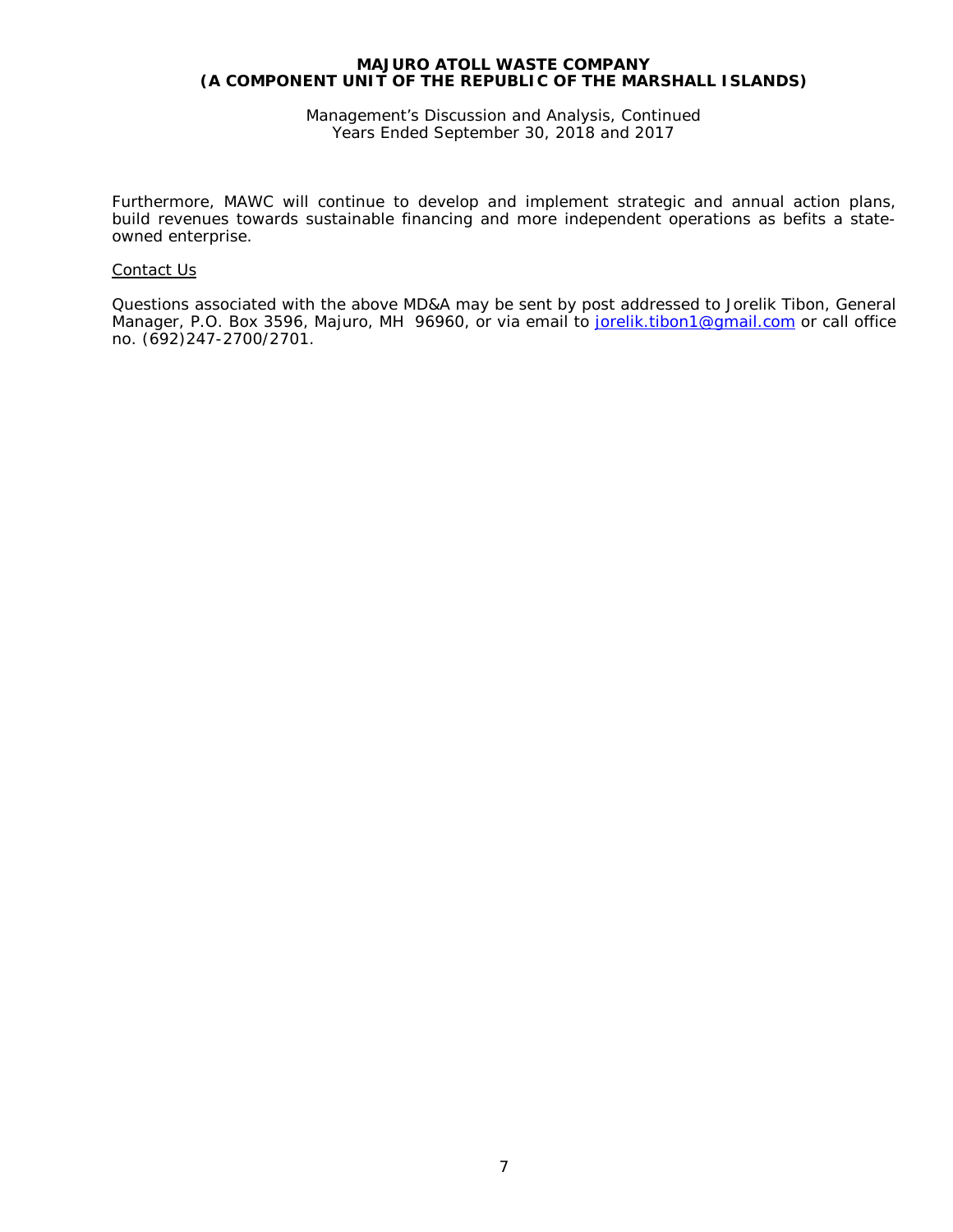Management's Discussion and Analysis, Continued Years Ended September 30, 2018 and 2017

Furthermore, MAWC will continue to develop and implement strategic and annual action plans, build revenues towards sustainable financing and more independent operations as befits a stateowned enterprise.

## Contact Us

Questions associated with the above MD&A may be sent by post addressed to Jorelik Tibon, General Manager, P.O. Box 3596, Majuro, MH 96960, or via email to <u>jorelik.tibon1@gmail.com</u> or call office no. (692)247-2700/2701.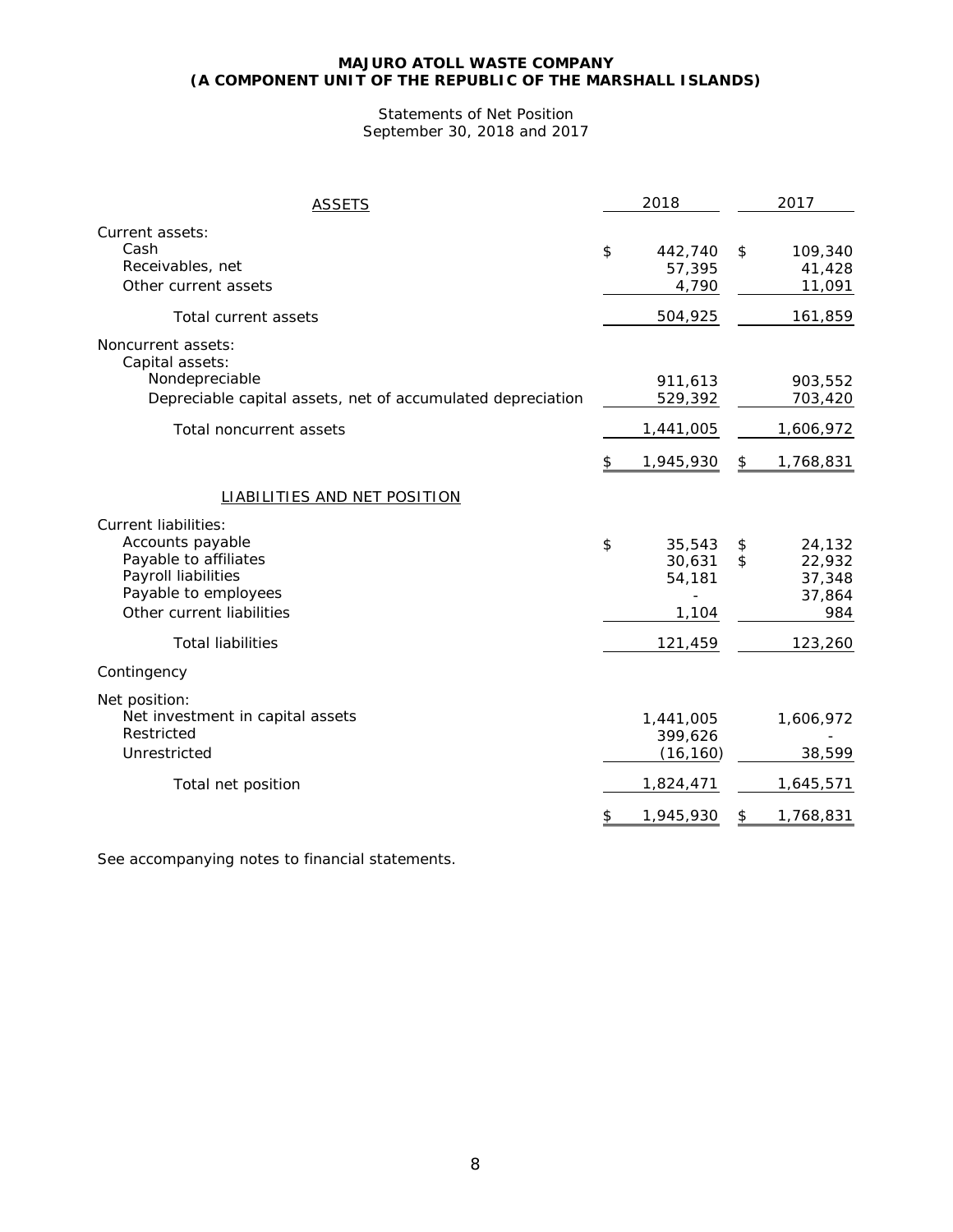# Statements of Net Position September 30, 2018 and 2017

| <b>ASSETS</b>                                                                                                                                        | 2018                                      |          | 2017                                        |
|------------------------------------------------------------------------------------------------------------------------------------------------------|-------------------------------------------|----------|---------------------------------------------|
| Current assets:<br>Cash<br>Receivables, net<br>Other current assets                                                                                  | \$<br>442,740<br>57,395<br>4,790          | \$       | 109,340<br>41,428<br>11,091                 |
| Total current assets                                                                                                                                 | 504,925                                   |          | 161,859                                     |
| Noncurrent assets:<br>Capital assets:<br>Nondepreciable                                                                                              | 911,613                                   |          | 903,552                                     |
| Depreciable capital assets, net of accumulated depreciation                                                                                          | 529,392                                   |          | 703,420                                     |
| Total noncurrent assets                                                                                                                              | 1,441,005                                 |          | 1,606,972                                   |
|                                                                                                                                                      | \$<br>1,945,930                           | \$       | 1,768,831                                   |
| <b>LIABILITIES AND NET POSITION</b>                                                                                                                  |                                           |          |                                             |
| <b>Current liabilities:</b><br>Accounts payable<br>Payable to affiliates<br>Payroll liabilities<br>Payable to employees<br>Other current liabilities | \$<br>35,543<br>30,631<br>54,181<br>1,104 | \$<br>\$ | 24,132<br>22,932<br>37,348<br>37,864<br>984 |
| <b>Total liabilities</b>                                                                                                                             | 121,459                                   |          | 123,260                                     |
| Contingency                                                                                                                                          |                                           |          |                                             |
| Net position:<br>Net investment in capital assets<br>Restricted<br>Unrestricted                                                                      | 1,441,005<br>399,626<br>(16, 160)         |          | 1,606,972<br>38,599                         |
| Total net position                                                                                                                                   | 1,824,471                                 |          | 1,645,571                                   |
|                                                                                                                                                      | \$<br>1,945,930                           | \$       | 1,768,831                                   |

See accompanying notes to financial statements.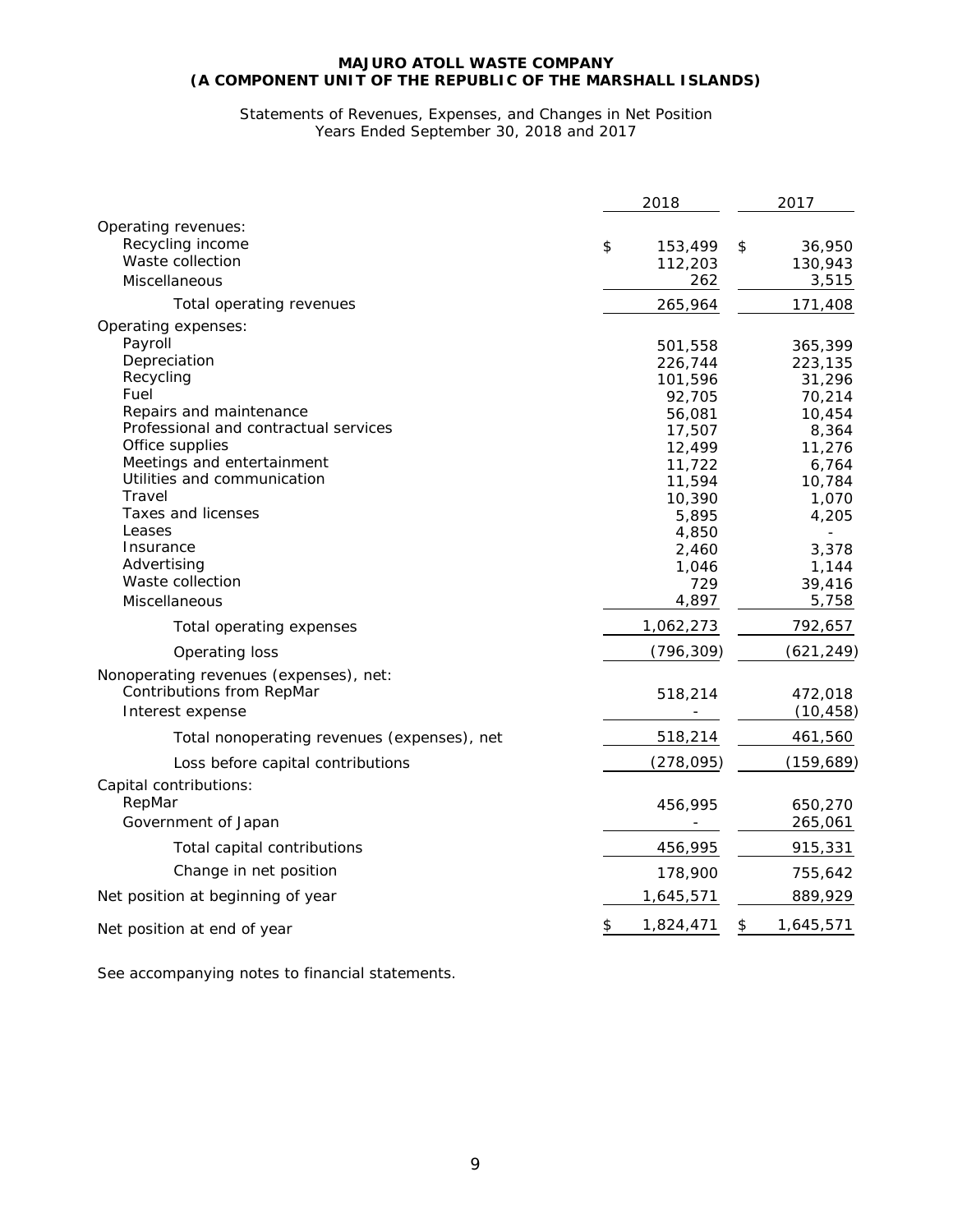# Statements of Revenues, Expenses, and Changes in Net Position Years Ended September 30, 2018 and 2017

|                                                                     | 2018                     |              | 2017            |
|---------------------------------------------------------------------|--------------------------|--------------|-----------------|
| Operating revenues:<br>Recycling income                             | \$                       | 153,499      | \$<br>36,950    |
| Waste collection                                                    |                          | 112,203      | 130,943         |
| Miscellaneous                                                       |                          | 262          | 3,515           |
| Total operating revenues                                            |                          | 265,964      | 171,408         |
| Operating expenses:                                                 |                          |              |                 |
| Payroll                                                             |                          | 501,558      | 365,399         |
| Depreciation                                                        |                          | 226,744      | 223,135         |
| Recycling                                                           |                          | 101,596      | 31,296          |
| Fuel                                                                |                          | 92,705       | 70,214          |
| Repairs and maintenance                                             |                          | 56,081       | 10,454          |
| Professional and contractual services                               |                          | 17,507       | 8,364           |
| Office supplies                                                     |                          | 12,499       | 11,276          |
| Meetings and entertainment                                          |                          | 11,722       | 6,764           |
| Utilities and communication                                         |                          | 11,594       | 10,784          |
| Travel<br>Taxes and licenses                                        |                          | 10,390       | 1,070           |
| Leases                                                              |                          | 5,895        | 4,205           |
| Insurance                                                           |                          | 4,850        |                 |
| Advertising                                                         |                          | 2,460        | 3,378           |
| Waste collection                                                    |                          | 1,046<br>729 | 1,144<br>39,416 |
| Miscellaneous                                                       |                          | 4,897        | 5,758           |
|                                                                     |                          | 1,062,273    | 792,657         |
| Total operating expenses                                            |                          |              |                 |
| Operating loss                                                      |                          | (796,309)    | (621, 249)      |
| Nonoperating revenues (expenses), net:<br>Contributions from RepMar |                          | 518,214      | 472,018         |
| Interest expense                                                    |                          |              | (10, 458)       |
| Total nonoperating revenues (expenses), net                         |                          | 518,214      | 461,560         |
| Loss before capital contributions                                   |                          | (278, 095)   | (159, 689)      |
| Capital contributions:                                              |                          |              |                 |
| RepMar                                                              |                          | 456,995      | 650,270         |
| Government of Japan                                                 |                          |              | 265,061         |
| Total capital contributions                                         |                          | 456,995      | 915,331         |
| Change in net position                                              |                          | 178,900      | 755,642         |
| Net position at beginning of year                                   |                          | 1,645,571    | 889,929         |
| Net position at end of year                                         | $\overline{\mathcal{F}}$ | 1,824,471    | \$<br>1,645,571 |
|                                                                     |                          |              |                 |

See accompanying notes to financial statements.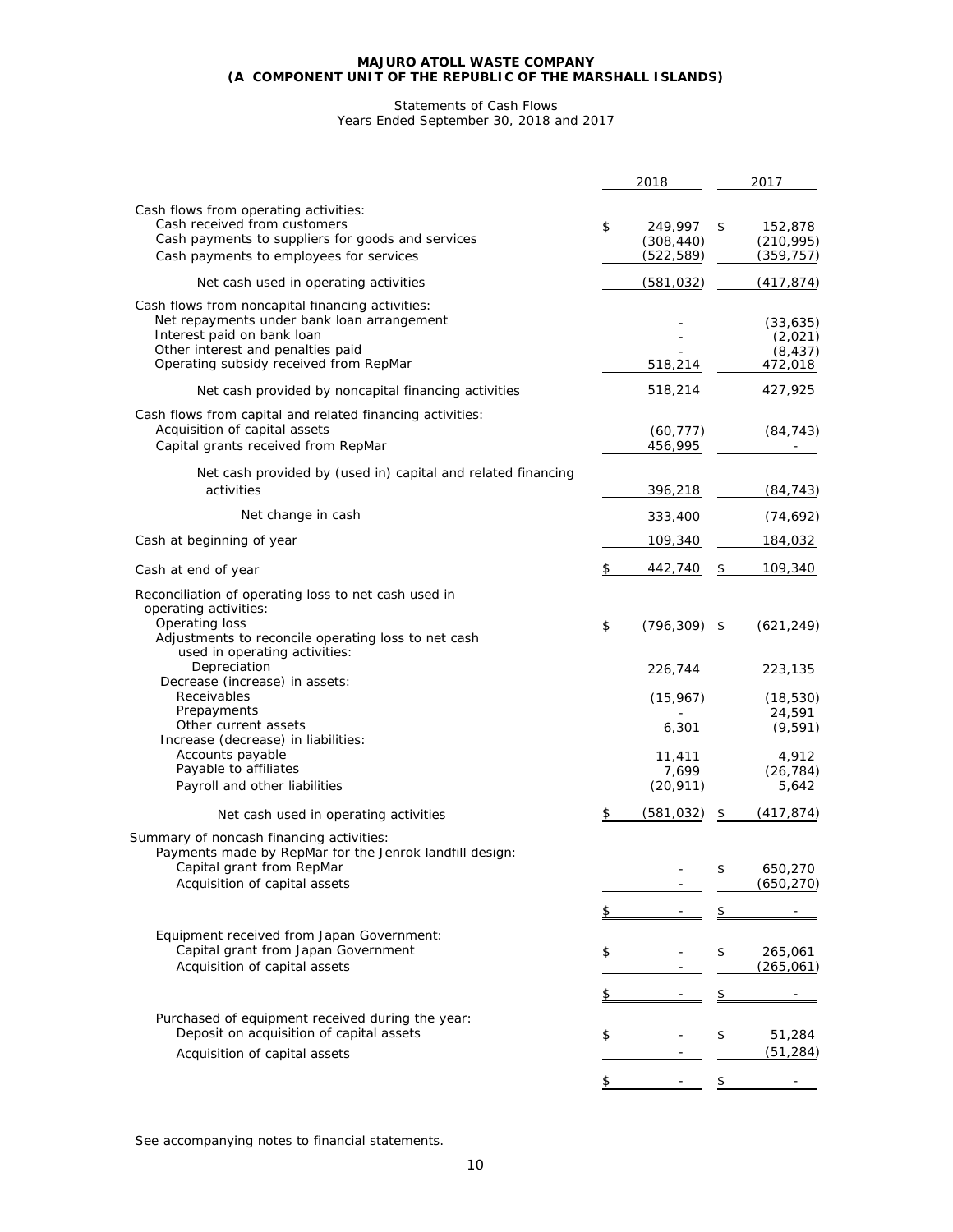#### Statements of Cash Flows Years Ended September 30, 2018 and 2017

|                                                                                                                                                                                                             | 2018                                      | 2017                                                  |
|-------------------------------------------------------------------------------------------------------------------------------------------------------------------------------------------------------------|-------------------------------------------|-------------------------------------------------------|
| Cash flows from operating activities:<br>Cash received from customers<br>Cash payments to suppliers for goods and services<br>Cash payments to employees for services                                       | \$<br>249,997<br>(308, 440)<br>(522, 589) | \$<br>152,878<br>(210, 995)<br>(359, 757)             |
| Net cash used in operating activities                                                                                                                                                                       | (581, 032)                                | (417,874)                                             |
| Cash flows from noncapital financing activities:<br>Net repayments under bank loan arrangement<br>Interest paid on bank loan<br>Other interest and penalties paid<br>Operating subsidy received from RepMar | 518,214                                   | (33, 635)<br>(2,021)<br>(8, 437)<br>472,018           |
| Net cash provided by noncapital financing activities                                                                                                                                                        | 518,214                                   | 427,925                                               |
| Cash flows from capital and related financing activities:<br>Acquisition of capital assets<br>Capital grants received from RepMar                                                                           | (60, 777)<br>456,995                      | (84, 743)                                             |
| Net cash provided by (used in) capital and related financing<br>activities                                                                                                                                  | 396,218                                   | (84, 743)                                             |
| Net change in cash                                                                                                                                                                                          | 333,400                                   | (74, 692)                                             |
| Cash at beginning of year                                                                                                                                                                                   | 109,340                                   | 184,032                                               |
| Cash at end of year                                                                                                                                                                                         | \$<br>442,740                             | \$<br>109,340                                         |
| Reconciliation of operating loss to net cash used in<br>operating activities:<br>Operating loss<br>Adjustments to reconcile operating loss to net cash<br>used in operating activities:                     | \$<br>$(796, 309)$ \$                     | (621, 249)                                            |
| Depreciation<br>Decrease (increase) in assets:                                                                                                                                                              | 226,744                                   | 223,135                                               |
| Receivables<br>Prepayments<br>Other current assets<br>Increase (decrease) in liabilities:<br>Accounts payable<br>Payable to affiliates                                                                      | (15, 967)<br>6,301<br>11,411<br>7,699     | (18, 530)<br>24,591<br>(9, 591)<br>4,912<br>(26, 784) |
| Payroll and other liabilities                                                                                                                                                                               | (20, 911)                                 | 5,642                                                 |
| Net cash used in operating activities                                                                                                                                                                       | \$<br>(581, 032)                          | \$<br>(417,874)                                       |
| Summary of noncash financing activities:<br>Payments made by RepMar for the Jenrok landfill design:<br>Capital grant from RepMar<br>Acquisition of capital assets                                           |                                           | \$<br>650,270<br>(650, 270)                           |
|                                                                                                                                                                                                             | \$                                        | \$                                                    |
| Equipment received from Japan Government:<br>Capital grant from Japan Government<br>Acquisition of capital assets                                                                                           | \$                                        | \$<br>265,061<br>(265,061)                            |
|                                                                                                                                                                                                             | \$                                        | \$                                                    |
| Purchased of equipment received during the year:<br>Deposit on acquisition of capital assets<br>Acquisition of capital assets                                                                               | \$                                        | \$<br>51,284<br><u>(51,284)</u>                       |
|                                                                                                                                                                                                             | \$                                        | \$                                                    |

See accompanying notes to financial statements.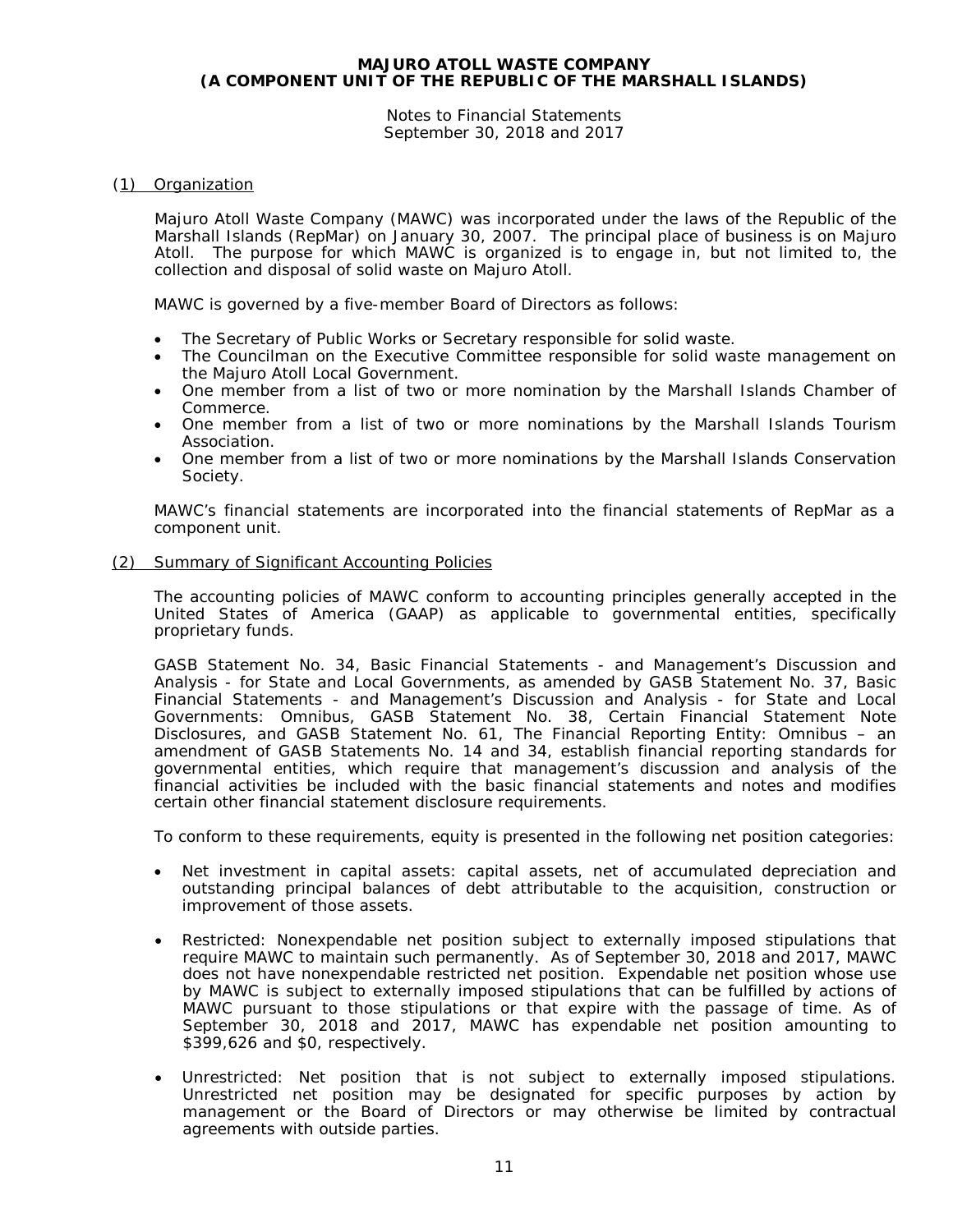Notes to Financial Statements September 30, 2018 and 2017

# (1) Organization

Majuro Atoll Waste Company (MAWC) was incorporated under the laws of the Republic of the Marshall Islands (RepMar) on January 30, 2007. The principal place of business is on Majuro Atoll. The purpose for which MAWC is organized is to engage in, but not limited to, the collection and disposal of solid waste on Majuro Atoll.

MAWC is governed by a five-member Board of Directors as follows:

- The Secretary of Public Works or Secretary responsible for solid waste.
- The Councilman on the Executive Committee responsible for solid waste management on the Majuro Atoll Local Government.
- One member from a list of two or more nomination by the Marshall Islands Chamber of Commerce.
- One member from a list of two or more nominations by the Marshall Islands Tourism Association.
- One member from a list of two or more nominations by the Marshall Islands Conservation Society.

MAWC's financial statements are incorporated into the financial statements of RepMar as a component unit.

# (2) Summary of Significant Accounting Policies

The accounting policies of MAWC conform to accounting principles generally accepted in the United States of America (GAAP) as applicable to governmental entities, specifically proprietary funds.

GASB Statement No. 34, *Basic Financial Statements - and Management's Discussion and Analysis - for State and Local Governments*, as amended by GASB Statement No. 37, *Basic Financial Statements - and Management's Discussion and Analysis - for State and Local Governments: Omnibus*, GASB Statement No. 38, *Certain Financial Statement Note Disclosures*, and GASB Statement No. 61, *The Financial Reporting Entity: Omnibus – an amendment of GASB Statements No. 14 and 34,* establish financial reporting standards for governmental entities, which require that management's discussion and analysis of the financial activities be included with the basic financial statements and notes and modifies certain other financial statement disclosure requirements.

To conform to these requirements, equity is presented in the following net position categories:

- Net investment in capital assets: capital assets, net of accumulated depreciation and outstanding principal balances of debt attributable to the acquisition, construction or improvement of those assets.
- Restricted: Nonexpendable net position subject to externally imposed stipulations that require MAWC to maintain such permanently. As of September 30, 2018 and 2017, MAWC does not have nonexpendable restricted net position. Expendable net position whose use by MAWC is subject to externally imposed stipulations that can be fulfilled by actions of MAWC pursuant to those stipulations or that expire with the passage of time. As of September 30, 2018 and 2017, MAWC has expendable net position amounting to \$399,626 and \$0, respectively.
- Unrestricted: Net position that is not subject to externally imposed stipulations. Unrestricted net position may be designated for specific purposes by action by management or the Board of Directors or may otherwise be limited by contractual agreements with outside parties.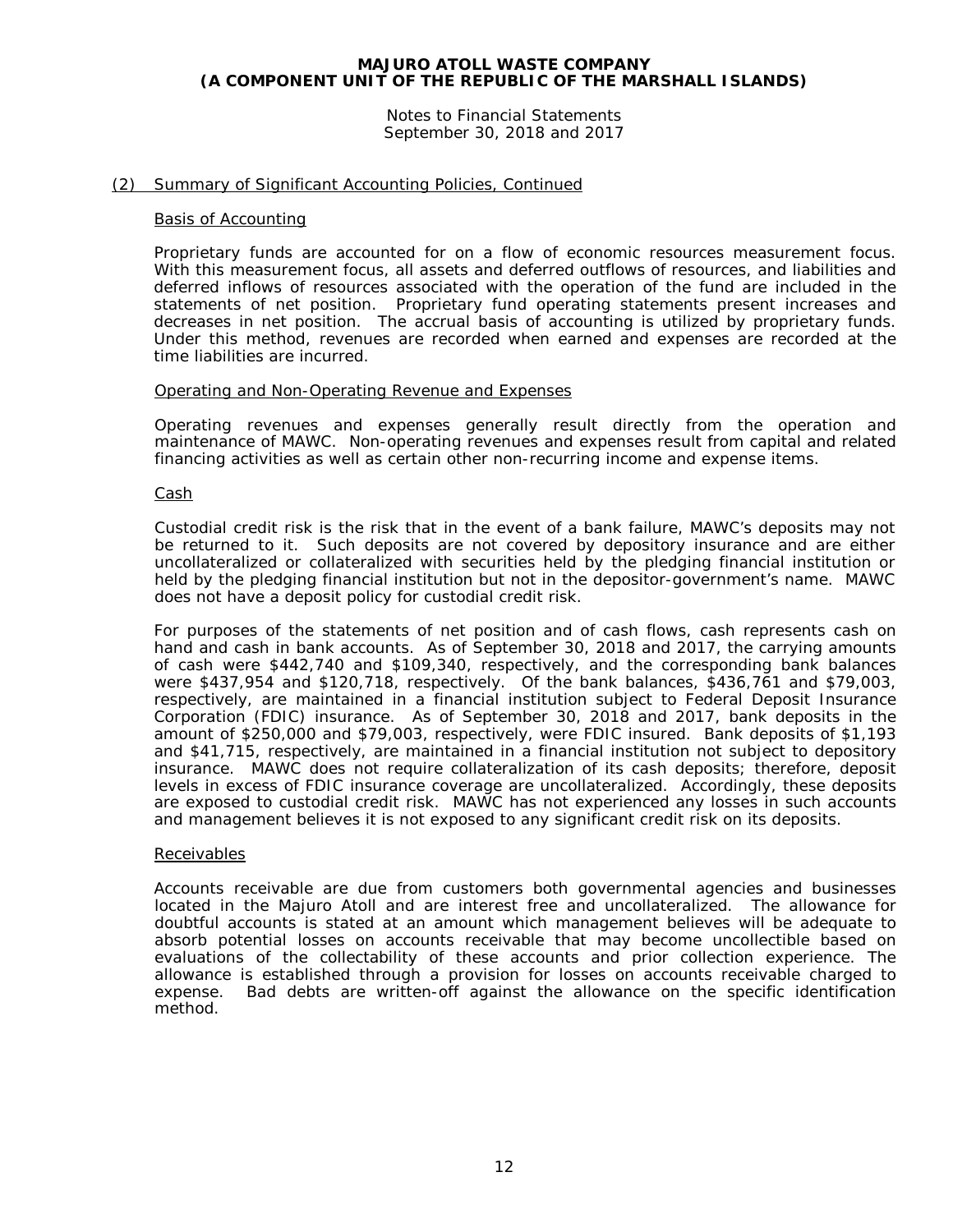Notes to Financial Statements September 30, 2018 and 2017

## (2) Summary of Significant Accounting Policies, Continued

#### Basis of Accounting

Proprietary funds are accounted for on a flow of economic resources measurement focus. With this measurement focus, all assets and deferred outflows of resources, and liabilities and deferred inflows of resources associated with the operation of the fund are included in the statements of net position. Proprietary fund operating statements present increases and decreases in net position. The accrual basis of accounting is utilized by proprietary funds. Under this method, revenues are recorded when earned and expenses are recorded at the time liabilities are incurred.

#### Operating and Non-Operating Revenue and Expenses

Operating revenues and expenses generally result directly from the operation and maintenance of MAWC. Non-operating revenues and expenses result from capital and related financing activities as well as certain other non-recurring income and expense items.

#### Cash

Custodial credit risk is the risk that in the event of a bank failure, MAWC's deposits may not be returned to it. Such deposits are not covered by depository insurance and are either uncollateralized or collateralized with securities held by the pledging financial institution or held by the pledging financial institution but not in the depositor-government's name. MAWC does not have a deposit policy for custodial credit risk.

For purposes of the statements of net position and of cash flows, cash represents cash on hand and cash in bank accounts. As of September 30, 2018 and 2017, the carrying amounts of cash were \$442,740 and \$109,340, respectively, and the corresponding bank balances were \$437,954 and \$120,718, respectively. Of the bank balances, \$436,761 and \$79,003, respectively, are maintained in a financial institution subject to Federal Deposit Insurance Corporation (FDIC) insurance. As of September 30, 2018 and 2017, bank deposits in the amount of \$250,000 and \$79,003, respectively, were FDIC insured. Bank deposits of \$1,193 and \$41,715, respectively, are maintained in a financial institution not subject to depository insurance. MAWC does not require collateralization of its cash deposits; therefore, deposit levels in excess of FDIC insurance coverage are uncollateralized. Accordingly, these deposits are exposed to custodial credit risk. MAWC has not experienced any losses in such accounts and management believes it is not exposed to any significant credit risk on its deposits.

#### Receivables

Accounts receivable are due from customers both governmental agencies and businesses located in the Majuro Atoll and are interest free and uncollateralized. The allowance for doubtful accounts is stated at an amount which management believes will be adequate to absorb potential losses on accounts receivable that may become uncollectible based on evaluations of the collectability of these accounts and prior collection experience. The allowance is established through a provision for losses on accounts receivable charged to expense. Bad debts are written-off against the allowance on the specific identification method.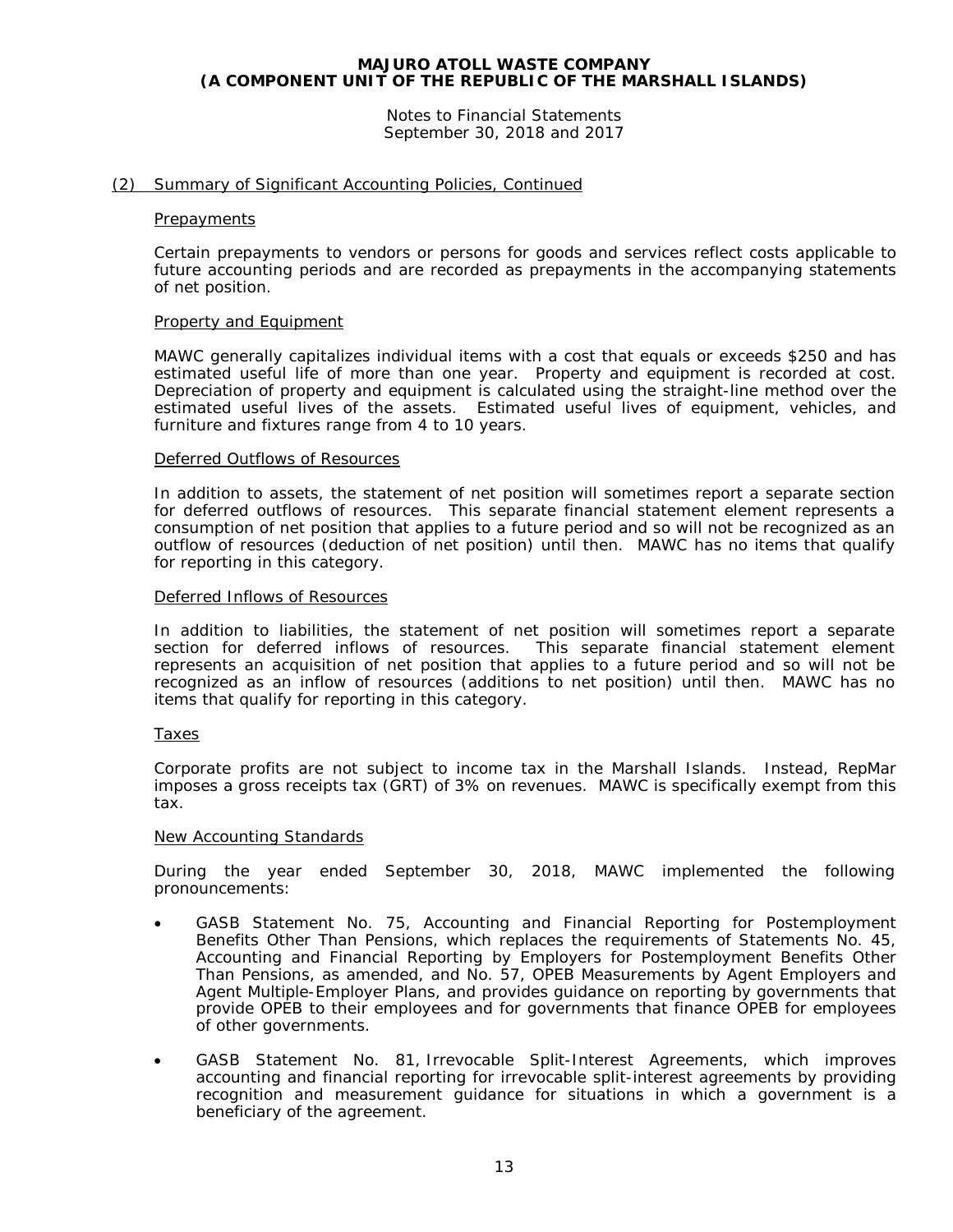Notes to Financial Statements September 30, 2018 and 2017

## (2) Summary of Significant Accounting Policies, Continued

#### **Prepayments**

Certain prepayments to vendors or persons for goods and services reflect costs applicable to future accounting periods and are recorded as prepayments in the accompanying statements of net position.

#### Property and Equipment

MAWC generally capitalizes individual items with a cost that equals or exceeds \$250 and has estimated useful life of more than one year. Property and equipment is recorded at cost. Depreciation of property and equipment is calculated using the straight-line method over the estimated useful lives of the assets. Estimated useful lives of equipment, vehicles, and furniture and fixtures range from 4 to 10 years.

#### Deferred Outflows of Resources

In addition to assets, the statement of net position will sometimes report a separate section for deferred outflows of resources. This separate financial statement element represents a consumption of net position that applies to a future period and so will not be recognized as an outflow of resources (deduction of net position) until then. MAWC has no items that qualify for reporting in this category.

#### Deferred Inflows of Resources

In addition to liabilities, the statement of net position will sometimes report a separate section for deferred inflows of resources. This separate financial statement element represents an acquisition of net position that applies to a future period and so will not be recognized as an inflow of resources (additions to net position) until then. MAWC has no items that qualify for reporting in this category.

# Taxes

Corporate profits are not subject to income tax in the Marshall Islands. Instead, RepMar imposes a gross receipts tax (GRT) of 3% on revenues. MAWC is specifically exempt from this tax.

#### New Accounting Standards

During the year ended September 30, 2018, MAWC implemented the following pronouncements:

- GASB Statement No. 75, *Accounting and Financial Reporting for Postemployment Benefits Other Than Pensions*, which replaces the requirements of Statements No. 45, *Accounting and Financial Reporting by Employers for Postemployment Benefits Other Than Pensions*, as amended, and No. 57, *OPEB Measurements by Agent Employers and Agent Multiple-Employer Plans*, and provides guidance on reporting by governments that provide OPEB to their employees and for governments that finance OPEB for employees of other governments.
- GASB Statement No. 81, *Irrevocable Split-Interest Agreements,* which improves accounting and financial reporting for irrevocable split-interest agreements by providing recognition and measurement guidance for situations in which a government is a beneficiary of the agreement.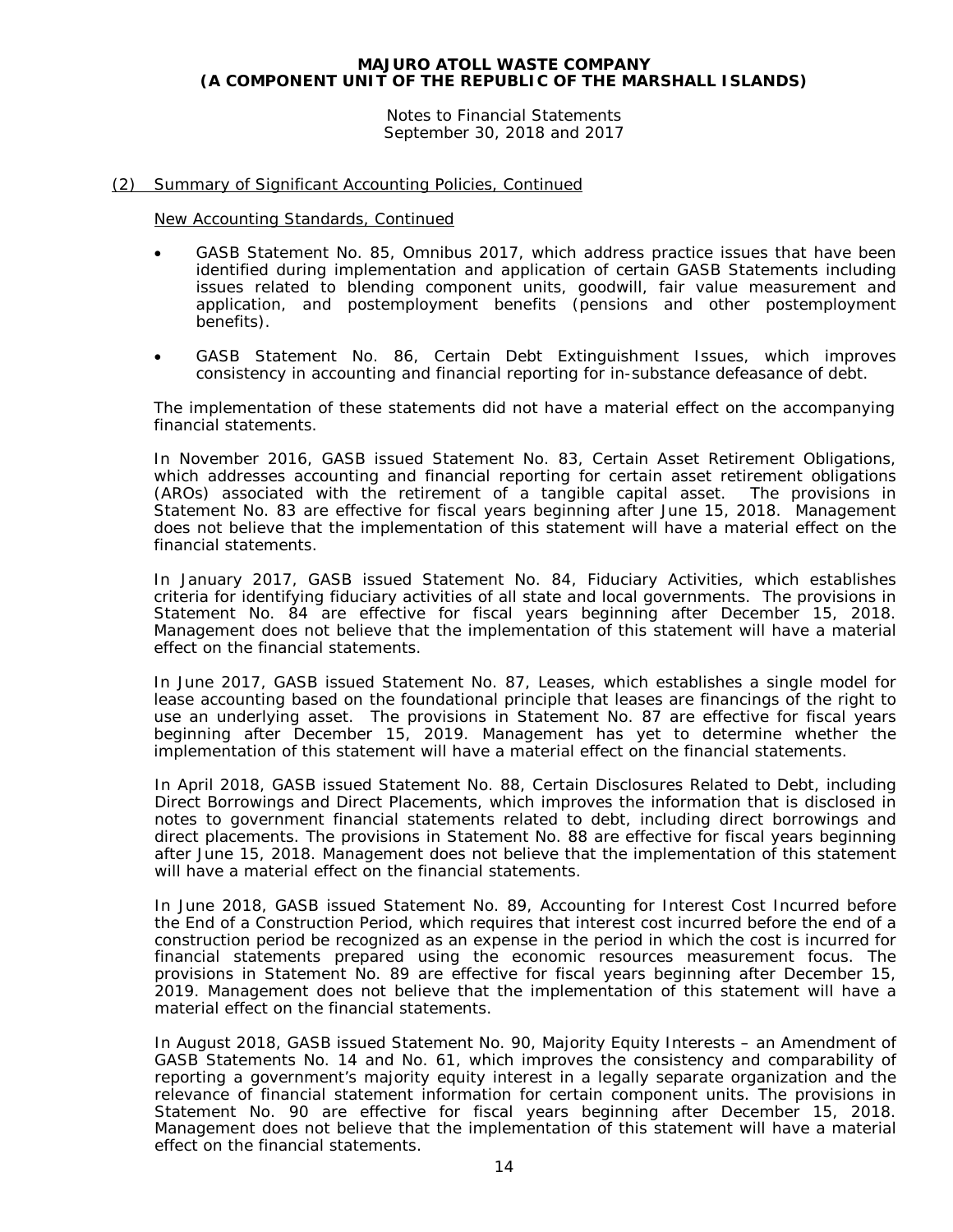Notes to Financial Statements September 30, 2018 and 2017

# (2) Summary of Significant Accounting Policies, Continued

New Accounting Standards, Continued

- GASB Statement No. 85, *Omnibus 2017*, which address practice issues that have been identified during implementation and application of certain GASB Statements including issues related to blending component units, goodwill, fair value measurement and application, and postemployment benefits (pensions and other postemployment benefits).
- GASB Statement No. 86, *Certain Debt Extinguishment Issues*, which improves consistency in accounting and financial reporting for in-substance defeasance of debt.

The implementation of these statements did not have a material effect on the accompanying financial statements.

In November 2016, GASB issued Statement No. 83, *Certain Asset Retirement Obligations*, which addresses accounting and financial reporting for certain asset retirement obligations (AROs) associated with the retirement of a tangible capital asset. The provisions in Statement No. 83 are effective for fiscal years beginning after June 15, 2018. Management does not believe that the implementation of this statement will have a material effect on the financial statements.

In January 2017, GASB issued Statement No. 84, *Fiduciary Activities*, which establishes criteria for identifying fiduciary activities of all state and local governments. The provisions in Statement No. 84 are effective for fiscal years beginning after December 15, 2018. Management does not believe that the implementation of this statement will have a material effect on the financial statements.

In June 2017, GASB issued Statement No. 87, *Leases*, which establishes a single model for lease accounting based on the foundational principle that leases are financings of the right to use an underlying asset. The provisions in Statement No. 87 are effective for fiscal years beginning after December 15, 2019. Management has yet to determine whether the implementation of this statement will have a material effect on the financial statements.

In April 2018, GASB issued Statement No. 88, *Certain Disclosures Related to Debt, including Direct Borrowings and Direct Placements*, which improves the information that is disclosed in notes to government financial statements related to debt, including direct borrowings and direct placements. The provisions in Statement No. 88 are effective for fiscal years beginning after June 15, 2018. Management does not believe that the implementation of this statement will have a material effect on the financial statements.

In June 2018, GASB issued Statement No. 89, *Accounting for Interest Cost Incurred before the End of a Construction Period*, which requires that interest cost incurred before the end of a construction period be recognized as an expense in the period in which the cost is incurred for financial statements prepared using the economic resources measurement focus. The provisions in Statement No. 89 are effective for fiscal years beginning after December 15, 2019. Management does not believe that the implementation of this statement will have a material effect on the financial statements.

In August 2018, GASB issued Statement No. 90, *Majority Equity Interests – an Amendment of GASB Statements No. 14 and No. 61,* which improves the consistency and comparability of reporting a government's majority equity interest in a legally separate organization and the relevance of financial statement information for certain component units. The provisions in Statement No. 90 are effective for fiscal years beginning after December 15, 2018. Management does not believe that the implementation of this statement will have a material effect on the financial statements.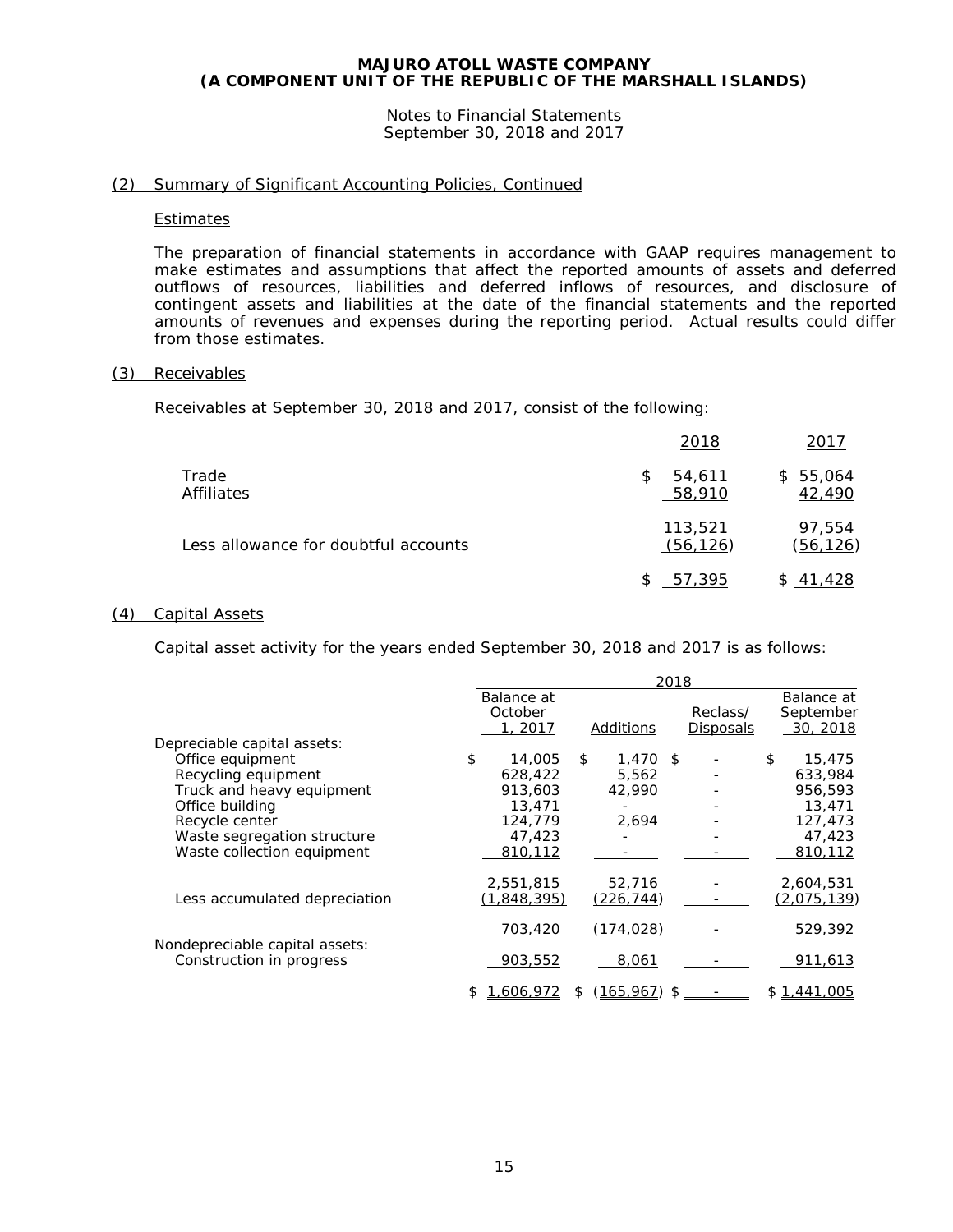Notes to Financial Statements September 30, 2018 and 2017

## (2) Summary of Significant Accounting Policies, Continued

#### Estimates

The preparation of financial statements in accordance with GAAP requires management to make estimates and assumptions that affect the reported amounts of assets and deferred outflows of resources, liabilities and deferred inflows of resources, and disclosure of contingent assets and liabilities at the date of the financial statements and the reported amounts of revenues and expenses during the reporting period. Actual results could differ from those estimates.

#### (3) Receivables

Receivables at September 30, 2018 and 2017, consist of the following:

|                                      | 2018                  | 2017                      |
|--------------------------------------|-----------------------|---------------------------|
| Trade<br>Affiliates                  | 54.611<br>S<br>58,910 | \$55,064<br>42,490        |
| Less allowance for doubtful accounts | 113,521<br>(56, 126)  | 97,554<br><u>(56,126)</u> |
|                                      | 57,395<br>S.          | \$41,428                  |

#### (4) Capital Assets

Capital asset activity for the years ended September 30, 2018 and 2017 is as follows:

|                                                            | 2018         |                       |                  |              |  |  |
|------------------------------------------------------------|--------------|-----------------------|------------------|--------------|--|--|
|                                                            | Balance at   | Balance at            |                  |              |  |  |
|                                                            | October      |                       | Reclass/         | September    |  |  |
|                                                            | 1, 2017      | <b>Additions</b>      | <b>Disposals</b> | 30, 2018     |  |  |
| Depreciable capital assets:                                |              |                       |                  |              |  |  |
| Office equipment                                           | \$<br>14,005 | $1,470$ \$<br>\$      |                  | \$<br>15,475 |  |  |
| Recycling equipment                                        | 628,422      | 5,562                 |                  | 633,984      |  |  |
| Truck and heavy equipment                                  | 913,603      | 42,990                |                  | 956,593      |  |  |
| Office building                                            | 13,471       |                       |                  | 13,471       |  |  |
| Recycle center                                             | 124,779      | 2,694                 |                  | 127,473      |  |  |
| Waste segregation structure                                | 47.423       |                       |                  | 47,423       |  |  |
| Waste collection equipment                                 | 810,112      |                       |                  | 810,112      |  |  |
|                                                            | 2,551,815    | 52,716                |                  | 2,604,531    |  |  |
| Less accumulated depreciation                              | (1,848,395)  | (226, 744)            |                  | (2,075,139)  |  |  |
|                                                            | 703,420      | (174, 028)            |                  | 529,392      |  |  |
| Nondepreciable capital assets:<br>Construction in progress | 903,552      | 8,061                 |                  | 911,613      |  |  |
|                                                            | 1,606,972    | $(165, 967)$ \$<br>\$ |                  | \$1,441,005  |  |  |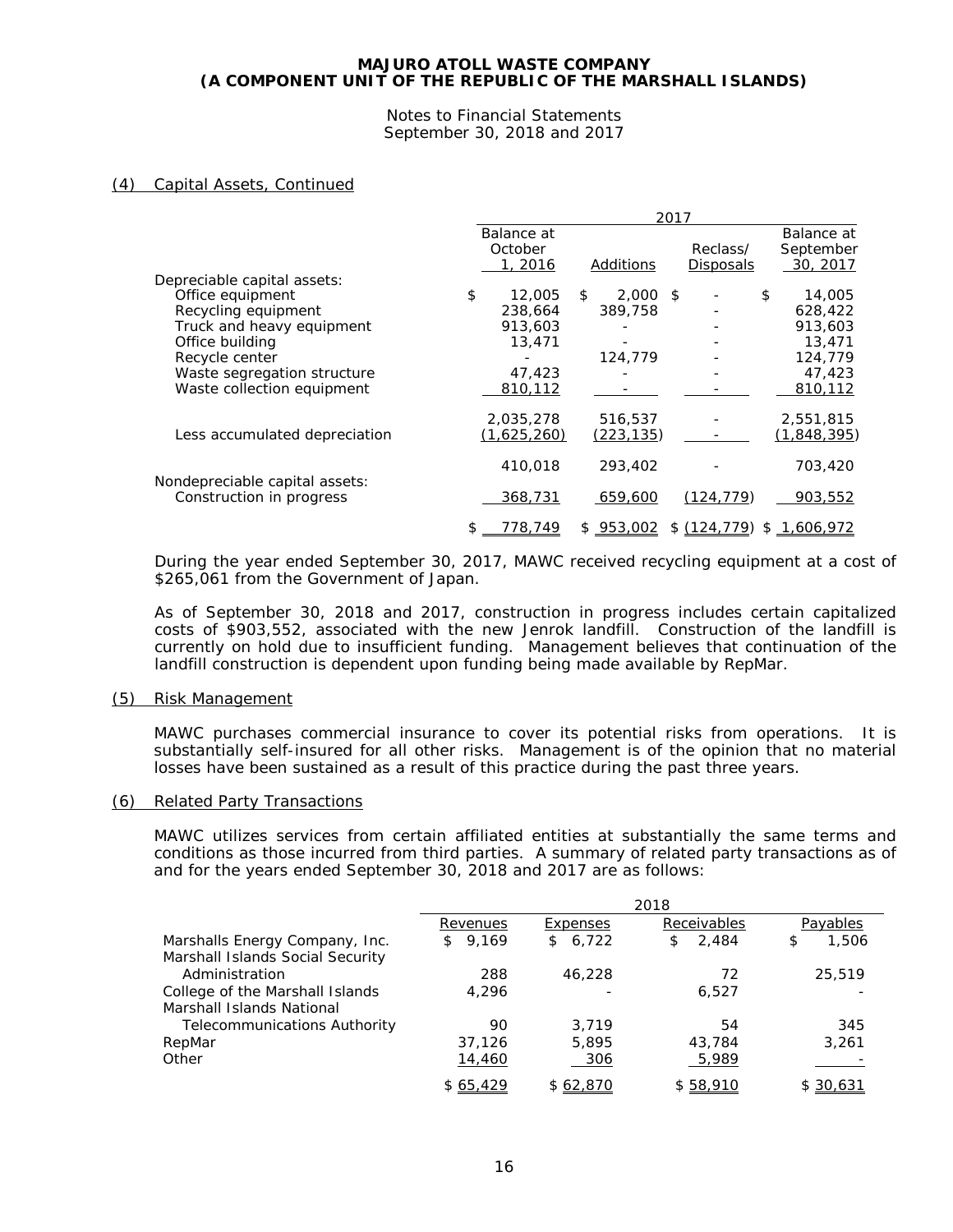Notes to Financial Statements September 30, 2018 and 2017

## (4) Capital Assets, Continued

|                                                            | 2017 |                       |    |            |  |                  |                       |
|------------------------------------------------------------|------|-----------------------|----|------------|--|------------------|-----------------------|
|                                                            |      | Balance at<br>October |    |            |  | Reclass/         | Balance at            |
|                                                            |      | 1, 2016               |    | Additions  |  | <b>Disposals</b> | September<br>30, 2017 |
| Depreciable capital assets:                                |      |                       |    |            |  |                  |                       |
| Office equipment                                           | \$   | 12,005                | \$ | $2,000$ \$ |  |                  | \$<br>14,005          |
| Recycling equipment                                        |      | 238,664               |    | 389,758    |  |                  | 628,422               |
| Truck and heavy equipment                                  |      | 913,603               |    |            |  |                  | 913,603               |
| Office building                                            |      | 13,471                |    |            |  |                  | 13,471                |
| Recycle center                                             |      |                       |    | 124,779    |  |                  | 124,779               |
| Waste segregation structure                                |      | 47,423                |    |            |  |                  | 47,423                |
| Waste collection equipment                                 |      | 810,112               |    |            |  |                  | 810,112               |
|                                                            |      | 2,035,278             |    | 516,537    |  |                  | 2,551,815             |
| Less accumulated depreciation                              |      | (1,625,260)           |    | (223, 135) |  |                  | (1,848,395)           |
|                                                            |      | 410,018               |    | 293,402    |  |                  | 703,420               |
| Nondepreciable capital assets:<br>Construction in progress |      | 368,731               |    | 659,600    |  | (124, 779)       | 903,552               |
|                                                            | \$   | 778.749               |    | \$953.002  |  | \$(124.779)      | \$<br>1,606,972       |

During the year ended September 30, 2017, MAWC received recycling equipment at a cost of \$265,061 from the Government of Japan.

As of September 30, 2018 and 2017, construction in progress includes certain capitalized costs of \$903,552, associated with the new Jenrok landfill. Construction of the landfill is currently on hold due to insufficient funding. Management believes that continuation of the landfill construction is dependent upon funding being made available by RepMar.

#### (5) Risk Management

MAWC purchases commercial insurance to cover its potential risks from operations. It is substantially self-insured for all other risks. Management is of the opinion that no material losses have been sustained as a result of this practice during the past three years.

#### (6) Related Party Transactions

MAWC utilizes services from certain affiliated entities at substantially the same terms and conditions as those incurred from third parties. A summary of related party transactions as of and for the years ended September 30, 2018 and 2017 are as follows:

|                                     |             |             | 2018        |             |
|-------------------------------------|-------------|-------------|-------------|-------------|
|                                     | Revenues    | Expenses    | Receivables | Payables    |
| Marshalls Energy Company, Inc.      | 9.169<br>S. | 6,722<br>S. | 2,484<br>S. | 1,506<br>\$ |
| Marshall Islands Social Security    |             |             |             |             |
| Administration                      | 288         | 46,228      | 72          | 25,519      |
| College of the Marshall Islands     | 4,296       |             | 6,527       |             |
| Marshall Islands National           |             |             |             |             |
| <b>Telecommunications Authority</b> | 90          | 3.719       | 54          | 345         |
| RepMar                              | 37,126      | 5,895       | 43,784      | 3,261       |
| Other                               | 14,460      | 306         | 5,989       |             |
|                                     | \$65,429    | \$62,870    | \$58,910    | \$30,631    |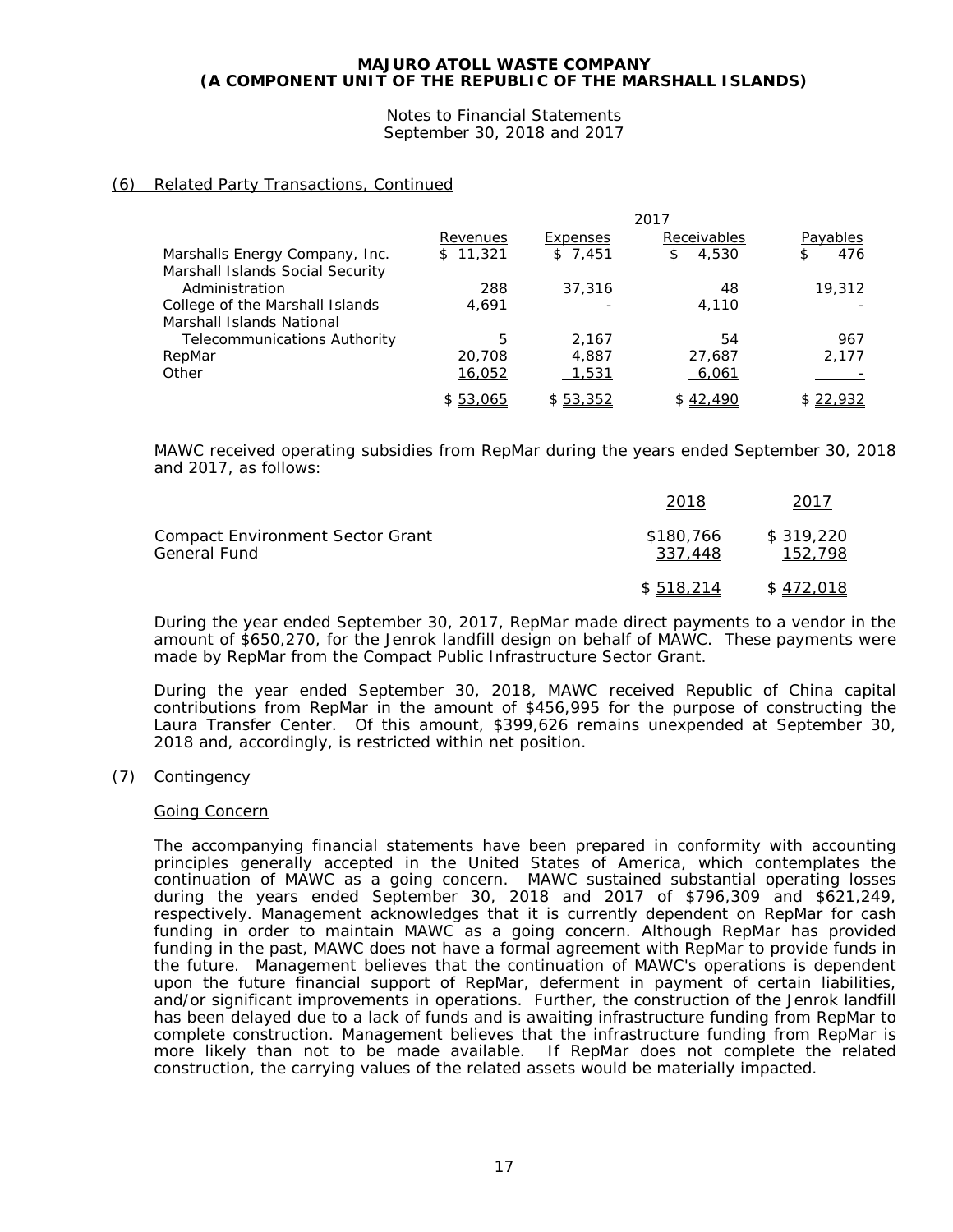Notes to Financial Statements September 30, 2018 and 2017

# (6) Related Party Transactions, Continued

|                                     |          |          | 2017        |          |
|-------------------------------------|----------|----------|-------------|----------|
|                                     | Revenues | Expenses | Receivables | Payables |
| Marshalls Energy Company, Inc.      | \$11,321 | \$7,451  | 4,530<br>S  | 476<br>S |
| Marshall Islands Social Security    |          |          |             |          |
| Administration                      | 288      | 37,316   | 48          | 19,312   |
| College of the Marshall Islands     | 4,691    |          | 4,110       |          |
| Marshall Islands National           |          |          |             |          |
| <b>Telecommunications Authority</b> | 5        | 2.167    | 54          | 967      |
| RepMar                              | 20,708   | 4,887    | 27,687      | 2,177    |
| Other                               | 16,052   | 1,531    | 6,061       |          |
|                                     | \$53,065 | \$53,352 | \$42,490    | \$22,932 |

MAWC received operating subsidies from RepMar during the years ended September 30, 2018 and 2017, as follows:

|                                                         | 2018                 | 2017                 |
|---------------------------------------------------------|----------------------|----------------------|
| <b>Compact Environment Sector Grant</b><br>General Fund | \$180,766<br>337,448 | \$319,220<br>152,798 |
|                                                         | \$518,214            | \$472,018            |

During the year ended September 30, 2017, RepMar made direct payments to a vendor in the amount of \$650,270, for the Jenrok landfill design on behalf of MAWC. These payments were made by RepMar from the Compact Public Infrastructure Sector Grant.

During the year ended September 30, 2018, MAWC received Republic of China capital contributions from RepMar in the amount of \$456,995 for the purpose of constructing the Laura Transfer Center. Of this amount, \$399,626 remains unexpended at September 30, 2018 and, accordingly, is restricted within net position.

(7) Contingency

# Going Concern

The accompanying financial statements have been prepared in conformity with accounting principles generally accepted in the United States of America, which contemplates the continuation of MAWC as a going concern. MAWC sustained substantial operating losses during the years ended September 30, 2018 and 2017 of \$796,309 and \$621,249, respectively. Management acknowledges that it is currently dependent on RepMar for cash funding in order to maintain MAWC as a going concern. Although RepMar has provided funding in the past, MAWC does not have a formal agreement with RepMar to provide funds in the future. Management believes that the continuation of MAWC's operations is dependent upon the future financial support of RepMar, deferment in payment of certain liabilities, and/or significant improvements in operations. Further, the construction of the Jenrok landfill has been delayed due to a lack of funds and is awaiting infrastructure funding from RepMar to complete construction. Management believes that the infrastructure funding from RepMar is more likely than not to be made available. If RepMar does not complete the related construction, the carrying values of the related assets would be materially impacted.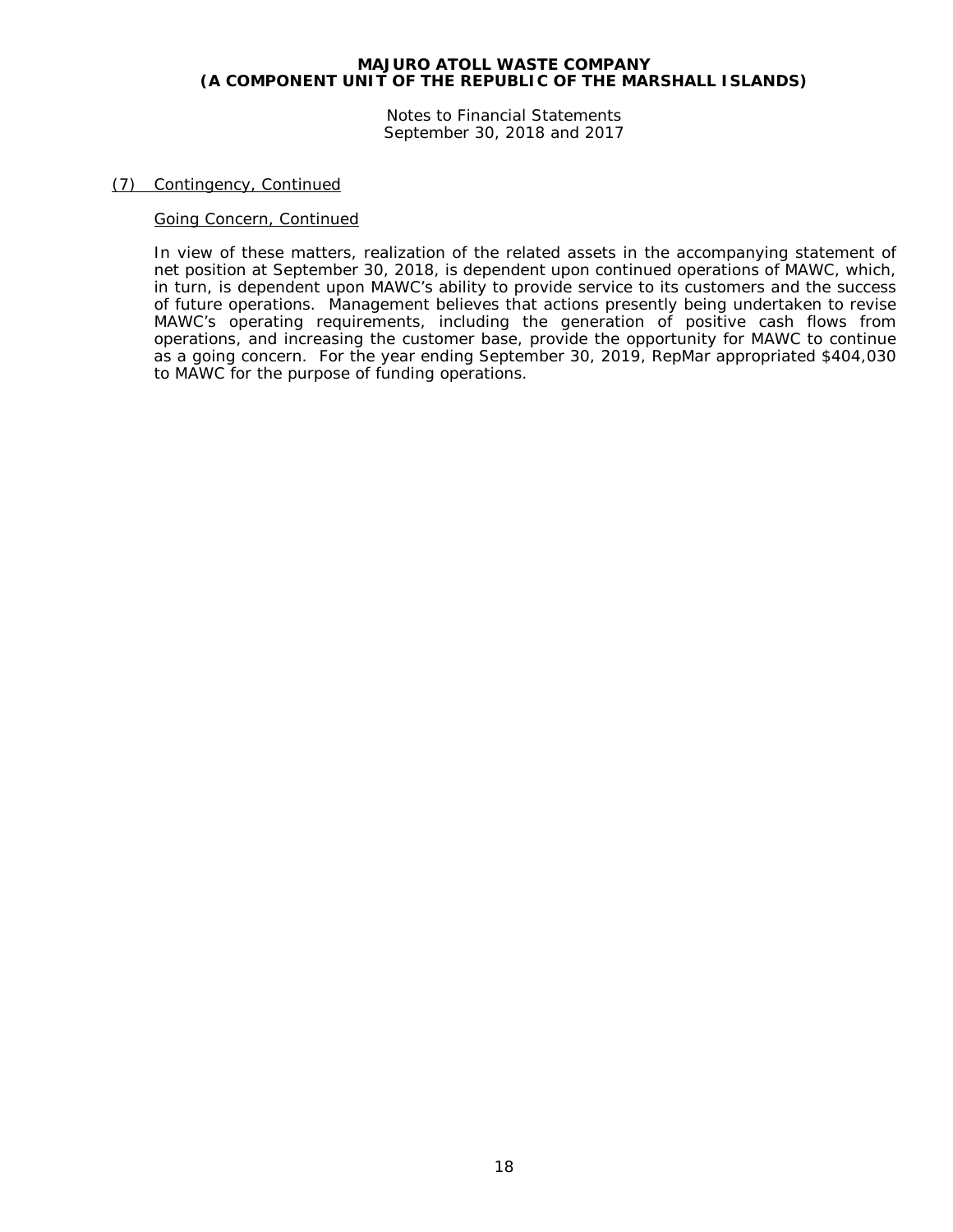Notes to Financial Statements September 30, 2018 and 2017

# (7) Contingency, Continued

# Going Concern, Continued

In view of these matters, realization of the related assets in the accompanying statement of net position at September 30, 2018, is dependent upon continued operations of MAWC, which, in turn, is dependent upon MAWC's ability to provide service to its customers and the success of future operations. Management believes that actions presently being undertaken to revise MAWC's operating requirements, including the generation of positive cash flows from operations, and increasing the customer base, provide the opportunity for MAWC to continue as a going concern. For the year ending September 30, 2019, RepMar appropriated \$404,030 to MAWC for the purpose of funding operations.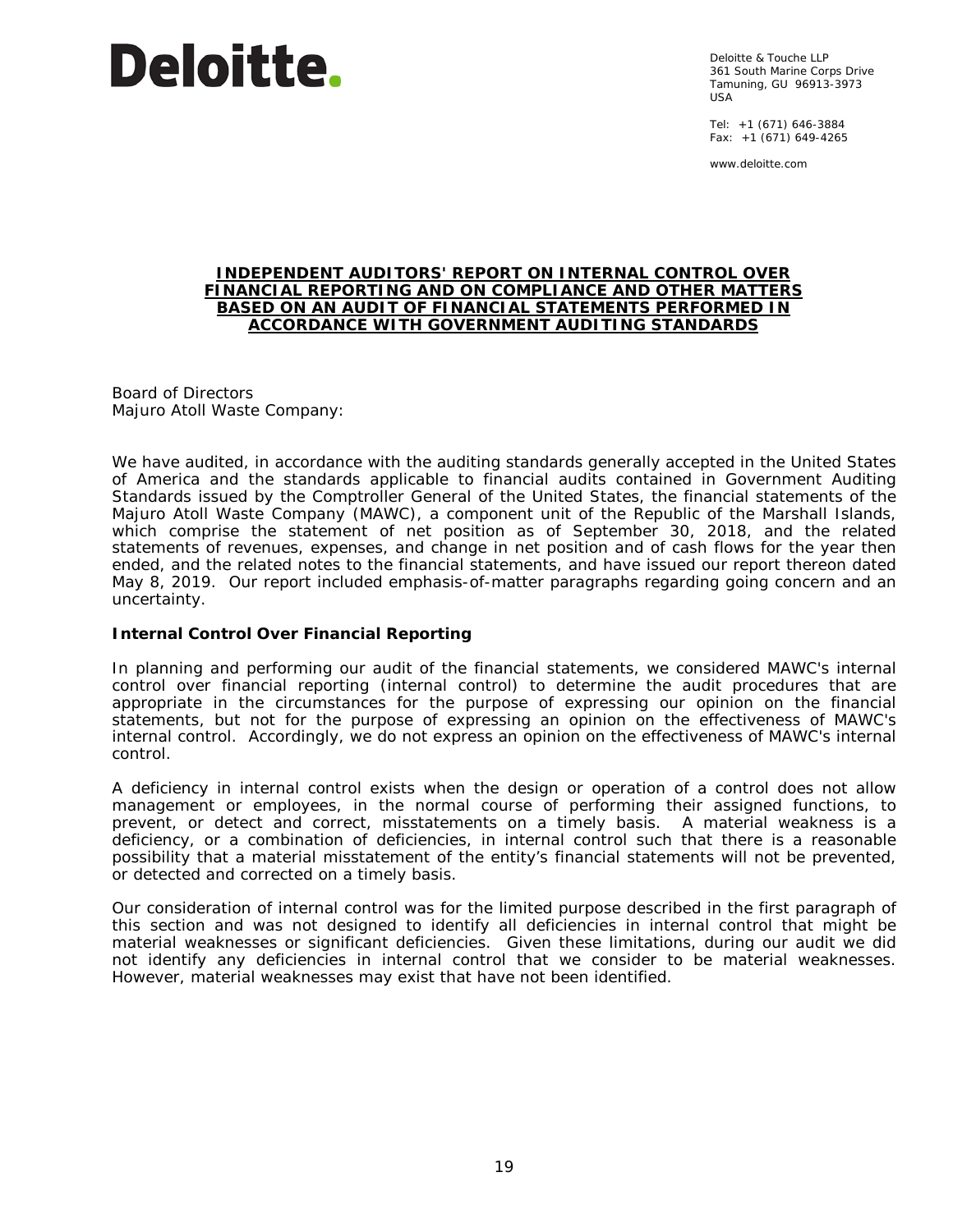# **Deloitte.**

Deloitte & Touche LLP 361 South Marine Corps Drive Tamuning, GU 96913-3973 USA

Tel: +1 (671) 646-3884 Fax:  $+1$  (671) 649-4265

www.deloitte.com

#### **INDEPENDENT AUDITORS' REPORT ON INTERNAL CONTROL OVER FINANCIAL REPORTING AND ON COMPLIANCE AND OTHER MATTERS BASED ON AN AUDIT OF FINANCIAL STATEMENTS PERFORMED IN ACCORDANCE WITH** *GOVERNMENT AUDITING STANDARDS*

Board of Directors Majuro Atoll Waste Company:

We have audited, in accordance with the auditing standards generally accepted in the United States of America and the standards applicable to financial audits contained in *Government Auditing Standards* issued by the Comptroller General of the United States, the financial statements of the Majuro Atoll Waste Company (MAWC), a component unit of the Republic of the Marshall Islands, which comprise the statement of net position as of September 30, 2018, and the related statements of revenues, expenses, and change in net position and of cash flows for the year then ended, and the related notes to the financial statements, and have issued our report thereon dated May 8, 2019. Our report included emphasis-of-matter paragraphs regarding going concern and an uncertainty.

# **Internal Control Over Financial Reporting**

In planning and performing our audit of the financial statements, we considered MAWC's internal control over financial reporting (internal control) to determine the audit procedures that are appropriate in the circumstances for the purpose of expressing our opinion on the financial statements, but not for the purpose of expressing an opinion on the effectiveness of MAWC's internal control. Accordingly, we do not express an opinion on the effectiveness of MAWC's internal control.

A *deficiency in internal control* exists when the design or operation of a control does not allow management or employees, in the normal course of performing their assigned functions, to prevent, or detect and correct, misstatements on a timely basis. A *material weakness* is a deficiency, or a combination of deficiencies, in internal control such that there is a reasonable possibility that a material misstatement of the entity's financial statements will not be prevented, or detected and corrected on a timely basis.

Our consideration of internal control was for the limited purpose described in the first paragraph of this section and was not designed to identify all deficiencies in internal control that might be material weaknesses or significant deficiencies. Given these limitations, during our audit we did not identify any deficiencies in internal control that we consider to be material weaknesses. However, material weaknesses may exist that have not been identified.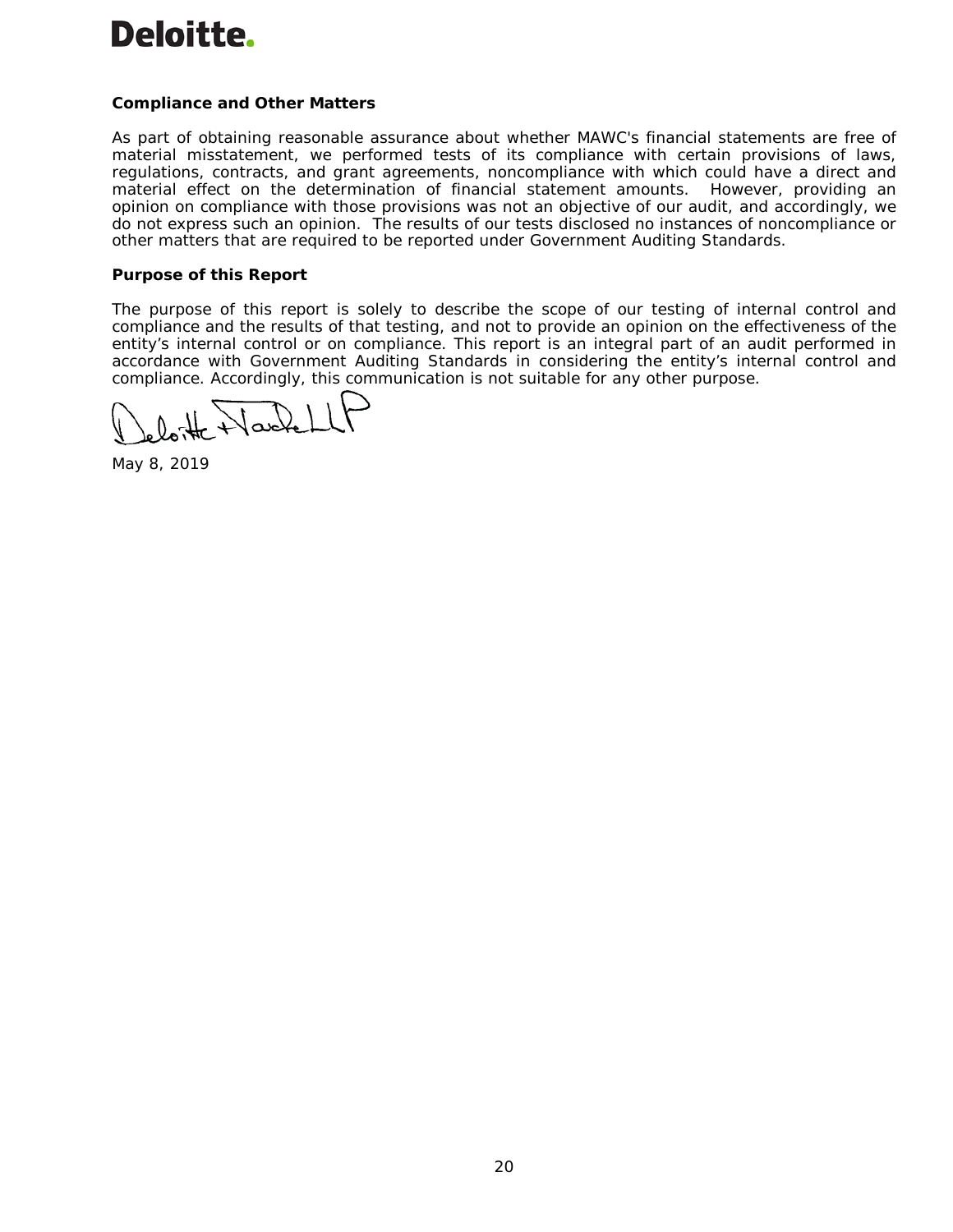# **Deloitte.**

# **Compliance and Other Matters**

As part of obtaining reasonable assurance about whether MAWC's financial statements are free of material misstatement, we performed tests of its compliance with certain provisions of laws, regulations, contracts, and grant agreements, noncompliance with which could have a direct and material effect on the determination of financial statement amounts. However, providing an opinion on compliance with those provisions was not an objective of our audit, and accordingly, we do not express such an opinion. The results of our tests disclosed no instances of noncompliance or other matters that are required to be reported under *Government Auditing Standards.*

# **Purpose of this Report**

The purpose of this report is solely to describe the scope of our testing of internal control and compliance and the results of that testing, and not to provide an opinion on the effectiveness of the entity's internal control or on compliance. This report is an integral part of an audit performed in accordance with *Government Auditing Standards* in considering the entity's internal control and compliance. Accordingly, this communication is not suitable for any other purpose.

 $\sqrt{a^2}$ 

May 8, 2019